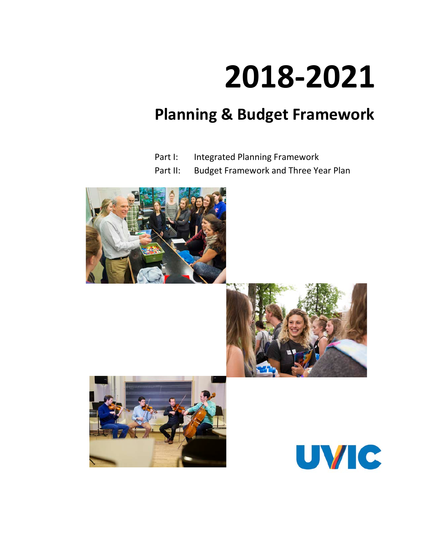# **2018-2021**

# **Planning & Budget Framework**

- Part I: Integrated Planning Framework
- Part II: Budget Framework and Three Year Plan







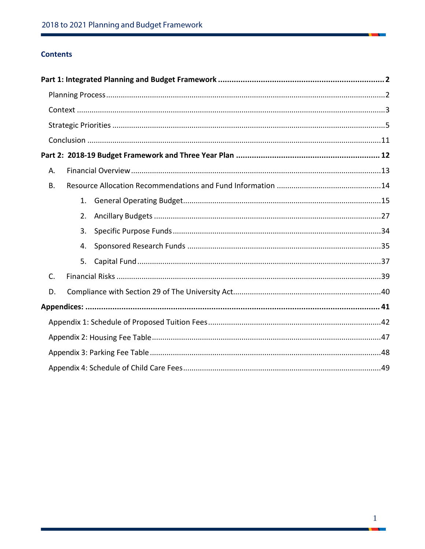#### **Contents**

| А.        |    |  |
|-----------|----|--|
| <b>B.</b> |    |  |
|           | 1. |  |
|           | 2. |  |
|           | 3. |  |
|           | 4. |  |
|           | 5. |  |
| C.        |    |  |
| D.        |    |  |
|           |    |  |
|           |    |  |
|           |    |  |
|           |    |  |
|           |    |  |

٦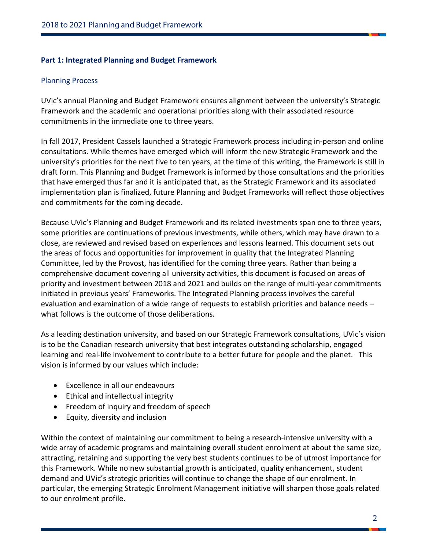#### <span id="page-2-0"></span>**Part 1: Integrated Planning and Budget Framework**

#### <span id="page-2-1"></span>Planning Process

UVic's annual Planning and Budget Framework ensures alignment between the university's Strategic Framework and the academic and operational priorities along with their associated resource commitments in the immediate one to three years.

In fall 2017, President Cassels launched a Strategic Framework process including in-person and online consultations. While themes have emerged which will inform the new Strategic Framework and the university's priorities for the next five to ten years, at the time of this writing, the Framework is still in draft form. This Planning and Budget Framework is informed by those consultations and the priorities that have emerged thus far and it is anticipated that, as the Strategic Framework and its associated implementation plan is finalized, future Planning and Budget Frameworks will reflect those objectives and commitments for the coming decade.

Because UVic's Planning and Budget Framework and its related investments span one to three years, some priorities are continuations of previous investments, while others, which may have drawn to a close, are reviewed and revised based on experiences and lessons learned. This document sets out the areas of focus and opportunities for improvement in quality that the Integrated Planning Committee, led by the Provost, has identified for the coming three years. Rather than being a comprehensive document covering all university activities, this document is focused on areas of priority and investment between 2018 and 2021 and builds on the range of multi-year commitments initiated in previous years' Frameworks. The Integrated Planning process involves the careful evaluation and examination of a wide range of requests to establish priorities and balance needs – what follows is the outcome of those deliberations.

As a leading destination university, and based on our Strategic Framework consultations, UVic's vision is to be the Canadian research university that best integrates outstanding scholarship, engaged learning and real-life involvement to contribute to a better future for people and the planet. This vision is informed by our values which include:

- Excellence in all our endeavours
- Ethical and intellectual integrity
- Freedom of inquiry and freedom of speech
- Equity, diversity and inclusion

Within the context of maintaining our commitment to being a research-intensive university with a wide array of academic programs and maintaining overall student enrolment at about the same size, attracting, retaining and supporting the very best students continues to be of utmost importance for this Framework. While no new substantial growth is anticipated, quality enhancement, student demand and UVic's strategic priorities will continue to change the shape of our enrolment. In particular, the emerging Strategic Enrolment Management initiative will sharpen those goals related to our enrolment profile.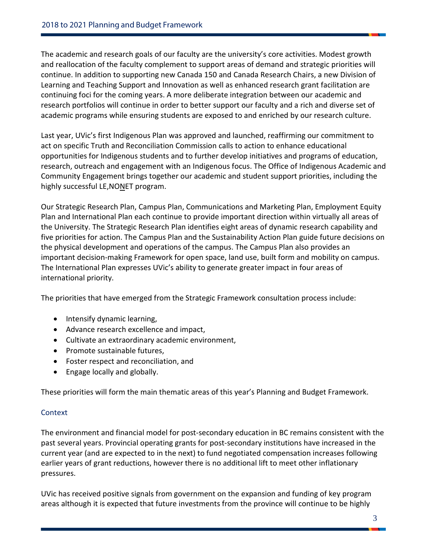The academic and research goals of our faculty are the university's core activities. Modest growth and reallocation of the faculty complement to support areas of demand and strategic priorities will continue. In addition to supporting new Canada 150 and Canada Research Chairs, a new Division of Learning and Teaching Support and Innovation as well as enhanced research grant facilitation are continuing foci for the coming years. A more deliberate integration between our academic and research portfolios will continue in order to better support our faculty and a rich and diverse set of academic programs while ensuring students are exposed to and enriched by our research culture.

Last year, UVic's first Indigenous Plan was approved and launched, reaffirming our commitment to act on specific Truth and Reconciliation Commission calls to action to enhance educational opportunities for Indigenous students and to further develop initiatives and programs of education, research, outreach and engagement with an Indigenous focus. The Office of Indigenous Academic and Community Engagement brings together our academic and student support priorities, including the highly successful LE,NONET program.

Our Strategic Research Plan, Campus Plan, Communications and Marketing Plan, Employment Equity Plan and International Plan each continue to provide important direction within virtually all areas of the University. The Strategic Research Plan identifies eight areas of dynamic research capability and five priorities for action. The Campus Plan and the Sustainability Action Plan guide future decisions on the physical development and operations of the campus. The Campus Plan also provides an important decision-making Framework for open space, land use, built form and mobility on campus. The International Plan expresses UVic's ability to generate greater impact in four areas of international priority.

The priorities that have emerged from the Strategic Framework consultation process include:

- Intensify dynamic learning,
- Advance research excellence and impact,
- Cultivate an extraordinary academic environment,
- Promote sustainable futures,
- Foster respect and reconciliation, and
- Engage locally and globally.

These priorities will form the main thematic areas of this year's Planning and Budget Framework.

#### <span id="page-3-0"></span>**Context**

The environment and financial model for post-secondary education in BC remains consistent with the past several years. Provincial operating grants for post-secondary institutions have increased in the current year (and are expected to in the next) to fund negotiated compensation increases following earlier years of grant reductions, however there is no additional lift to meet other inflationary pressures.

UVic has received positive signals from government on the expansion and funding of key program areas although it is expected that future investments from the province will continue to be highly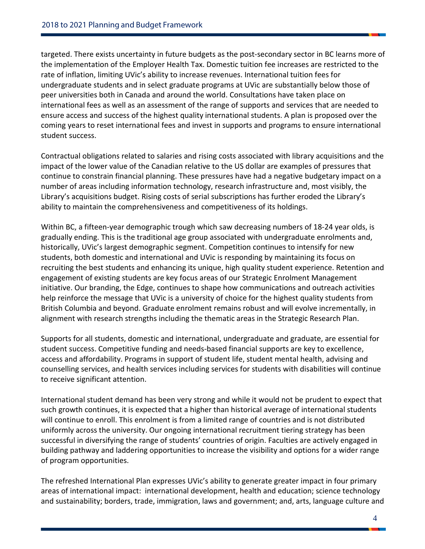targeted. There exists uncertainty in future budgets as the post-secondary sector in BC learns more of the implementation of the Employer Health Tax. Domestic tuition fee increases are restricted to the rate of inflation, limiting UVic's ability to increase revenues. International tuition fees for undergraduate students and in select graduate programs at UVic are substantially below those of peer universities both in Canada and around the world. Consultations have taken place on international fees as well as an assessment of the range of supports and services that are needed to ensure access and success of the highest quality international students. A plan is proposed over the coming years to reset international fees and invest in supports and programs to ensure international student success.

Contractual obligations related to salaries and rising costs associated with library acquisitions and the impact of the lower value of the Canadian relative to the US dollar are examples of pressures that continue to constrain financial planning. These pressures have had a negative budgetary impact on a number of areas including information technology, research infrastructure and, most visibly, the Library's acquisitions budget. Rising costs of serial subscriptions has further eroded the Library's ability to maintain the comprehensiveness and competitiveness of its holdings.

Within BC, a fifteen-year demographic trough which saw decreasing numbers of 18-24 year olds, is gradually ending. This is the traditional age group associated with undergraduate enrolments and, historically, UVic's largest demographic segment. Competition continues to intensify for new students, both domestic and international and UVic is responding by maintaining its focus on recruiting the best students and enhancing its unique, high quality student experience. Retention and engagement of existing students are key focus areas of our Strategic Enrolment Management initiative. Our branding, the Edge, continues to shape how communications and outreach activities help reinforce the message that UVic is a university of choice for the highest quality students from British Columbia and beyond. Graduate enrolment remains robust and will evolve incrementally, in alignment with research strengths including the thematic areas in the Strategic Research Plan.

Supports for all students, domestic and international, undergraduate and graduate, are essential for student success. Competitive funding and needs-based financial supports are key to excellence, access and affordability. Programs in support of student life, student mental health, advising and counselling services, and health services including services for students with disabilities will continue to receive significant attention.

International student demand has been very strong and while it would not be prudent to expect that such growth continues, it is expected that a higher than historical average of international students will continue to enroll. This enrolment is from a limited range of countries and is not distributed uniformly across the university. Our ongoing international recruitment tiering strategy has been successful in diversifying the range of students' countries of origin. Faculties are actively engaged in building pathway and laddering opportunities to increase the visibility and options for a wider range of program opportunities.

The refreshed International Plan expresses UVic's ability to generate greater impact in four primary areas of international impact: international development, health and education; science technology and sustainability; borders, trade, immigration, laws and government; and, arts, language culture and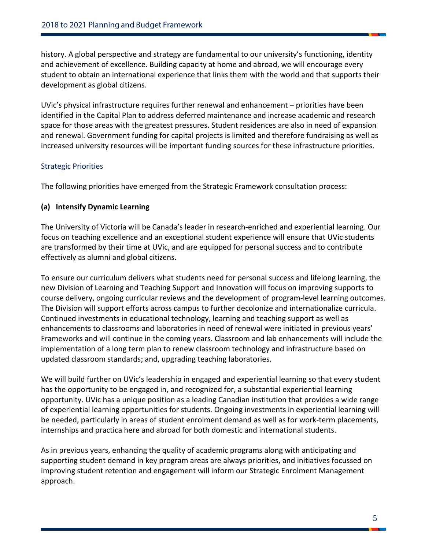history. A global perspective and strategy are fundamental to our university's functioning, identity and achievement of excellence. Building capacity at home and abroad, we will encourage every student to obtain an international experience that links them with the world and that supports their development as global citizens.

UVic's physical infrastructure requires further renewal and enhancement – priorities have been identified in the Capital Plan to address deferred maintenance and increase academic and research space for those areas with the greatest pressures. Student residences are also in need of expansion and renewal. Government funding for capital projects is limited and therefore fundraising as well as increased university resources will be important funding sources for these infrastructure priorities.

#### <span id="page-5-0"></span>Strategic Priorities

The following priorities have emerged from the Strategic Framework consultation process:

#### **(a) Intensify Dynamic Learning**

The University of Victoria will be Canada's leader in research-enriched and experiential learning. Our focus on teaching excellence and an exceptional student experience will ensure that UVic students are transformed by their time at UVic, and are equipped for personal success and to contribute effectively as alumni and global citizens.

To ensure our curriculum delivers what students need for personal success and lifelong learning, the new Division of Learning and Teaching Support and Innovation will focus on improving supports to course delivery, ongoing curricular reviews and the development of program-level learning outcomes. The Division will support efforts across campus to further decolonize and internationalize curricula. Continued investments in educational technology, learning and teaching support as well as enhancements to classrooms and laboratories in need of renewal were initiated in previous years' Frameworks and will continue in the coming years. Classroom and lab enhancements will include the implementation of a long term plan to renew classroom technology and infrastructure based on updated classroom standards; and, upgrading teaching laboratories.

We will build further on UVic's leadership in engaged and experiential learning so that every student has the opportunity to be engaged in, and recognized for, a substantial experiential learning opportunity. UVic has a unique position as a leading Canadian institution that provides a wide range of experiential learning opportunities for students. Ongoing investments in experiential learning will be needed, particularly in areas of student enrolment demand as well as for work-term placements, internships and practica here and abroad for both domestic and international students.

As in previous years, enhancing the quality of academic programs along with anticipating and supporting student demand in key program areas are always priorities, and initiatives focussed on improving student retention and engagement will inform our Strategic Enrolment Management approach.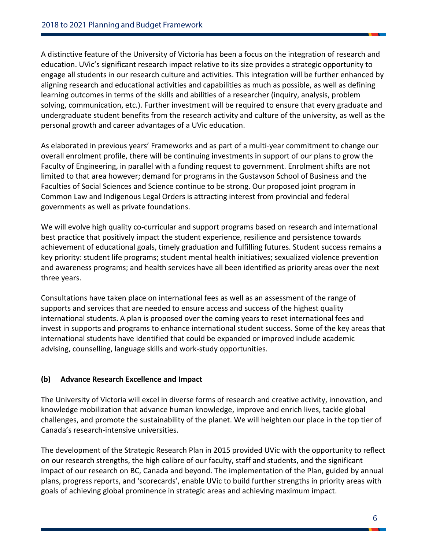A distinctive feature of the University of Victoria has been a focus on the integration of research and education. UVic's significant research impact relative to its size provides a strategic opportunity to engage all students in our research culture and activities. This integration will be further enhanced by aligning research and educational activities and capabilities as much as possible, as well as defining learning outcomes in terms of the skills and abilities of a researcher (inquiry, analysis, problem solving, communication, etc.). Further investment will be required to ensure that every graduate and undergraduate student benefits from the research activity and culture of the university, as well as the personal growth and career advantages of a UVic education.

As elaborated in previous years' Frameworks and as part of a multi-year commitment to change our overall enrolment profile, there will be continuing investments in support of our plans to grow the Faculty of Engineering, in parallel with a funding request to government. Enrolment shifts are not limited to that area however; demand for programs in the Gustavson School of Business and the Faculties of Social Sciences and Science continue to be strong. Our proposed joint program in Common Law and Indigenous Legal Orders is attracting interest from provincial and federal governments as well as private foundations.

We will evolve high quality co-curricular and support programs based on research and international best practice that positively impact the student experience, resilience and persistence towards achievement of educational goals, timely graduation and fulfilling futures. Student success remains a key priority: student life programs; student mental health initiatives; sexualized violence prevention and awareness programs; and health services have all been identified as priority areas over the next three years.

Consultations have taken place on international fees as well as an assessment of the range of supports and services that are needed to ensure access and success of the highest quality international students. A plan is proposed over the coming years to reset international fees and invest in supports and programs to enhance international student success. Some of the key areas that international students have identified that could be expanded or improved include academic advising, counselling, language skills and work-study opportunities.

#### **(b) Advance Research Excellence and Impact**

The University of Victoria will excel in diverse forms of research and creative activity, innovation, and knowledge mobilization that advance human knowledge, improve and enrich lives, tackle global challenges, and promote the sustainability of the planet. We will heighten our place in the top tier of Canada's research-intensive universities.

The development of the Strategic Research Plan in 2015 provided UVic with the opportunity to reflect on our research strengths, the high calibre of our faculty, staff and students, and the significant impact of our research on BC, Canada and beyond. The implementation of the Plan, guided by annual plans, progress reports, and 'scorecards', enable UVic to build further strengths in priority areas with goals of achieving global prominence in strategic areas and achieving maximum impact.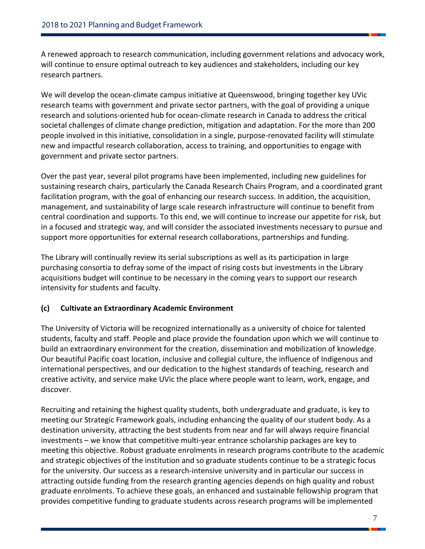A renewed approach to research communication, including government relations and advocacy work, will continue to ensure optimal outreach to key audiences and stakeholders, including our key research partners.

We will develop the ocean-climate campus initiative at Queenswood, bringing together key UVic research teams with government and private sector partners, with the goal of providing a unique research and solutions-oriented hub for ocean-climate research in Canada to address the critical societal challenges of climate change prediction, mitigation and adaptation. For the more than 200 people involved in this initiative, consolidation in a single, purpose-renovated facility will stimulate new and impactful research collaboration, access to training, and opportunities to engage with government and private sector partners.

Over the past year, several pilot programs have been implemented, including new guidelines for sustaining research chairs, particularly the Canada Research Chairs Program, and a coordinated grant facilitation program, with the goal of enhancing our research success. In addition, the acquisition, management, and sustainability of large scale research infrastructure will continue to benefit from central coordination and supports. To this end, we will continue to increase our appetite for risk, but in a focused and strategic way, and will consider the associated investments necessary to pursue and support more opportunities for external research collaborations, partnerships and funding.

The Library will continually review its serial subscriptions as well as its participation in large purchasing consortia to defray some of the impact of rising costs but investments in the Library acquisitions budget will continue to be necessary in the coming years to support our research intensivity for students and faculty.

#### **(c) Cultivate an Extraordinary Academic Environment**

The University of Victoria will be recognized internationally as a university of choice for talented students, faculty and staff. People and place provide the foundation upon which we will continue to build an extraordinary environment for the creation, dissemination and mobilization of knowledge. Our beautiful Pacific coast location, inclusive and collegial culture, the influence of Indigenous and international perspectives, and our dedication to the highest standards of teaching, research and creative activity, and service make UVic the place where people want to learn, work, engage, and discover.

Recruiting and retaining the highest quality students, both undergraduate and graduate, is key to meeting our Strategic Framework goals, including enhancing the quality of our student body. As a destination university, attracting the best students from near and far will always require financial investments – we know that competitive multi-year entrance scholarship packages are key to meeting this objective. Robust graduate enrolments in research programs contribute to the academic and strategic objectives of the institution and so graduate students continue to be a strategic focus for the university. Our success as a research-intensive university and in particular our success in attracting outside funding from the research granting agencies depends on high quality and robust graduate enrolments. To achieve these goals, an enhanced and sustainable fellowship program that provides competitive funding to graduate students across research programs will be implemented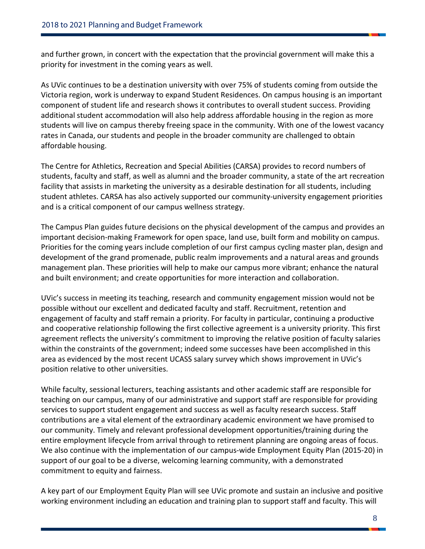and further grown, in concert with the expectation that the provincial government will make this a priority for investment in the coming years as well.

As UVic continues to be a destination university with over 75% of students coming from outside the Victoria region, work is underway to expand Student Residences. On campus housing is an important component of student life and research shows it contributes to overall student success. Providing additional student accommodation will also help address affordable housing in the region as more students will live on campus thereby freeing space in the community. With one of the lowest vacancy rates in Canada, our students and people in the broader community are challenged to obtain affordable housing.

The Centre for Athletics, Recreation and Special Abilities (CARSA) provides to record numbers of students, faculty and staff, as well as alumni and the broader community, a state of the art recreation facility that assists in marketing the university as a desirable destination for all students, including student athletes. CARSA has also actively supported our community-university engagement priorities and is a critical component of our campus wellness strategy.

The Campus Plan guides future decisions on the physical development of the campus and provides an important decision-making Framework for open space, land use, built form and mobility on campus. Priorities for the coming years include completion of our first campus cycling master plan, design and development of the grand promenade, public realm improvements and a natural areas and grounds management plan. These priorities will help to make our campus more vibrant; enhance the natural and built environment; and create opportunities for more interaction and collaboration.

UVic's success in meeting its teaching, research and community engagement mission would not be possible without our excellent and dedicated faculty and staff. Recruitment, retention and engagement of faculty and staff remain a priority. For faculty in particular, continuing a productive and cooperative relationship following the first collective agreement is a university priority. This first agreement reflects the university's commitment to improving the relative position of faculty salaries within the constraints of the government; indeed some successes have been accomplished in this area as evidenced by the most recent UCASS salary survey which shows improvement in UVic's position relative to other universities.

While faculty, sessional lecturers, teaching assistants and other academic staff are responsible for teaching on our campus, many of our administrative and support staff are responsible for providing services to support student engagement and success as well as faculty research success. Staff contributions are a vital element of the extraordinary academic environment we have promised to our community. Timely and relevant professional development opportunities/training during the entire employment lifecycle from arrival through to retirement planning are ongoing areas of focus. We also continue with the implementation of our campus-wide Employment Equity Plan (2015-20) in support of our goal to be a diverse, welcoming learning community, with a demonstrated commitment to equity and fairness.

A key part of our Employment Equity Plan will see UVic promote and sustain an inclusive and positive working environment including an education and training plan to support staff and faculty. This will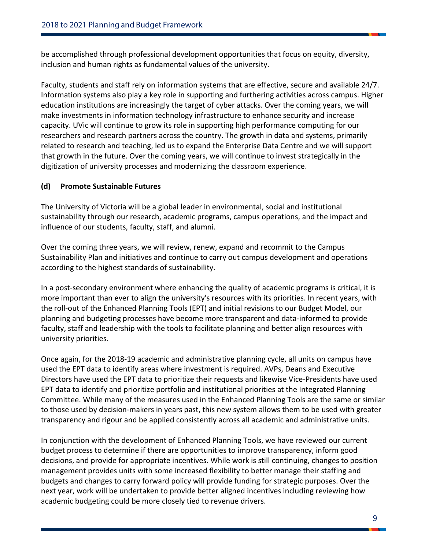be accomplished through professional development opportunities that focus on equity, diversity, inclusion and human rights as fundamental values of the university.

Faculty, students and staff rely on information systems that are effective, secure and available 24/7. Information systems also play a key role in supporting and furthering activities across campus. Higher education institutions are increasingly the target of cyber attacks. Over the coming years, we will make investments in information technology infrastructure to enhance security and increase capacity. UVic will continue to grow its role in supporting high performance computing for our researchers and research partners across the country. The growth in data and systems, primarily related to research and teaching, led us to expand the Enterprise Data Centre and we will support that growth in the future. Over the coming years, we will continue to invest strategically in the digitization of university processes and modernizing the classroom experience.

#### **(d) Promote Sustainable Futures**

The University of Victoria will be a global leader in environmental, social and institutional sustainability through our research, academic programs, campus operations, and the impact and influence of our students, faculty, staff, and alumni.

Over the coming three years, we will review, renew, expand and recommit to the Campus Sustainability Plan and initiatives and continue to carry out campus development and operations according to the highest standards of sustainability.

In a post-secondary environment where enhancing the quality of academic programs is critical, it is more important than ever to align the university's resources with its priorities. In recent years, with the roll-out of the Enhanced Planning Tools (EPT) and initial revisions to our Budget Model, our planning and budgeting processes have become more transparent and data-informed to provide faculty, staff and leadership with the tools to facilitate planning and better align resources with university priorities.

Once again, for the 2018-19 academic and administrative planning cycle, all units on campus have used the EPT data to identify areas where investment is required. AVPs, Deans and Executive Directors have used the EPT data to prioritize their requests and likewise Vice-Presidents have used EPT data to identify and prioritize portfolio and institutional priorities at the Integrated Planning Committee. While many of the measures used in the Enhanced Planning Tools are the same or similar to those used by decision-makers in years past, this new system allows them to be used with greater transparency and rigour and be applied consistently across all academic and administrative units.

In conjunction with the development of Enhanced Planning Tools, we have reviewed our current budget process to determine if there are opportunities to improve transparency, inform good decisions, and provide for appropriate incentives. While work is still continuing, changes to position management provides units with some increased flexibility to better manage their staffing and budgets and changes to carry forward policy will provide funding for strategic purposes. Over the next year, work will be undertaken to provide better aligned incentives including reviewing how academic budgeting could be more closely tied to revenue drivers.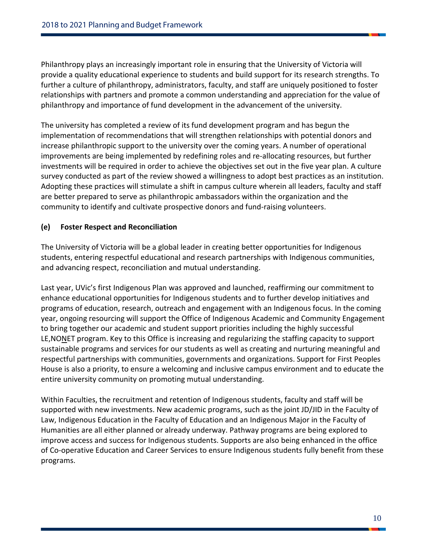Philanthropy plays an increasingly important role in ensuring that the University of Victoria will provide a quality educational experience to students and build support for its research strengths. To further a culture of philanthropy, administrators, faculty, and staff are uniquely positioned to foster relationships with partners and promote a common understanding and appreciation for the value of philanthropy and importance of fund development in the advancement of the university.

The university has completed a review of its fund development program and has begun the implementation of recommendations that will strengthen relationships with potential donors and increase philanthropic support to the university over the coming years. A number of operational improvements are being implemented by redefining roles and re-allocating resources, but further investments will be required in order to achieve the objectives set out in the five year plan. A culture survey conducted as part of the review showed a willingness to adopt best practices as an institution. Adopting these practices will stimulate a shift in campus culture wherein all leaders, faculty and staff are better prepared to serve as philanthropic ambassadors within the organization and the community to identify and cultivate prospective donors and fund-raising volunteers.

#### **(e) Foster Respect and Reconciliation**

The University of Victoria will be a global leader in creating better opportunities for Indigenous students, entering respectful educational and research partnerships with Indigenous communities, and advancing respect, reconciliation and mutual understanding.

Last year, UVic's first Indigenous Plan was approved and launched, reaffirming our commitment to enhance educational opportunities for Indigenous students and to further develop initiatives and programs of education, research, outreach and engagement with an Indigenous focus. In the coming year, ongoing resourcing will support the Office of Indigenous Academic and Community Engagement to bring together our academic and student support priorities including the highly successful LE, NONET program. Key to this Office is increasing and regularizing the staffing capacity to support sustainable programs and services for our students as well as creating and nurturing meaningful and respectful partnerships with communities, governments and organizations. Support for First Peoples House is also a priority, to ensure a welcoming and inclusive campus environment and to educate the entire university community on promoting mutual understanding.

Within Faculties, the recruitment and retention of Indigenous students, faculty and staff will be supported with new investments. New academic programs, such as the joint JD/JID in the Faculty of Law, Indigenous Education in the Faculty of Education and an Indigenous Major in the Faculty of Humanities are all either planned or already underway. Pathway programs are being explored to improve access and success for Indigenous students. Supports are also being enhanced in the office of Co-operative Education and Career Services to ensure Indigenous students fully benefit from these programs.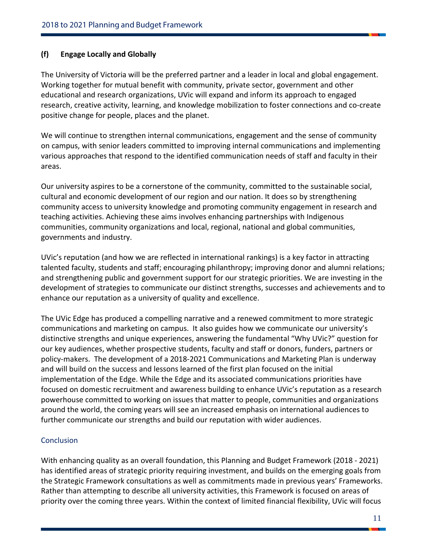#### **(f) Engage Locally and Globally**

The University of Victoria will be the preferred partner and a leader in local and global engagement. Working together for mutual benefit with community, private sector, government and other educational and research organizations, UVic will expand and inform its approach to engaged research, creative activity, learning, and knowledge mobilization to foster connections and co-create positive change for people, places and the planet.

We will continue to strengthen internal communications, engagement and the sense of community on campus, with senior leaders committed to improving internal communications and implementing various approaches that respond to the identified communication needs of staff and faculty in their areas.

Our university aspires to be a cornerstone of the community, committed to the sustainable social, cultural and economic development of our region and our nation. It does so by strengthening community access to university knowledge and promoting community engagement in research and teaching activities. Achieving these aims involves enhancing partnerships with Indigenous communities, community organizations and local, regional, national and global communities, governments and industry.

UVic's reputation (and how we are reflected in international rankings) is a key factor in attracting talented faculty, students and staff; encouraging philanthropy; improving donor and alumni relations; and strengthening public and government support for our strategic priorities. We are investing in the development of strategies to communicate our distinct strengths, successes and achievements and to enhance our reputation as a university of quality and excellence.

The UVic Edge has produced a compelling narrative and a renewed commitment to more strategic communications and marketing on campus. It also guides how we communicate our university's distinctive strengths and unique experiences, answering the fundamental "Why UVic?" question for our key audiences, whether prospective students, faculty and staff or donors, funders, partners or policy-makers. The development of a 2018-2021 Communications and Marketing Plan is underway and will build on the success and lessons learned of the first plan focused on the initial implementation of the Edge. While the Edge and its associated communications priorities have focused on domestic recruitment and awareness building to enhance UVic's reputation as a research powerhouse committed to working on issues that matter to people, communities and organizations around the world, the coming years will see an increased emphasis on international audiences to further communicate our strengths and build our reputation with wider audiences.

#### <span id="page-11-0"></span>**Conclusion**

With enhancing quality as an overall foundation, this Planning and Budget Framework (2018 - 2021) has identified areas of strategic priority requiring investment, and builds on the emerging goals from the Strategic Framework consultations as well as commitments made in previous years' Frameworks. Rather than attempting to describe all university activities, this Framework is focused on areas of priority over the coming three years. Within the context of limited financial flexibility, UVic will focus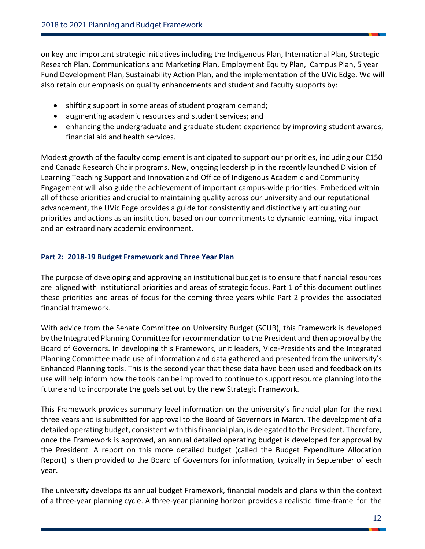on key and important strategic initiatives including the Indigenous Plan, International Plan, Strategic Research Plan, Communications and Marketing Plan, Employment Equity Plan, Campus Plan, 5 year Fund Development Plan, Sustainability Action Plan, and the implementation of the UVic Edge. We will also retain our emphasis on quality enhancements and student and faculty supports by:

- shifting support in some areas of student program demand;
- augmenting academic resources and student services; and
- enhancing the undergraduate and graduate student experience by improving student awards, financial aid and health services.

Modest growth of the faculty complement is anticipated to support our priorities, including our C150 and Canada Research Chair programs. New, ongoing leadership in the recently launched Division of Learning Teaching Support and Innovation and Office of Indigenous Academic and Community Engagement will also guide the achievement of important campus-wide priorities. Embedded within all of these priorities and crucial to maintaining quality across our university and our reputational advancement, the UVic Edge provides a guide for consistently and distinctively articulating our priorities and actions as an institution, based on our commitments to dynamic learning, vital impact and an extraordinary academic environment.

#### <span id="page-12-0"></span>**Part 2: 2018-19 Budget Framework and Three Year Plan**

The purpose of developing and approving an institutional budget is to ensure that financial resources are aligned with institutional priorities and areas of strategic focus. Part 1 of this document outlines these priorities and areas of focus for the coming three years while Part 2 provides the associated financial framework.

With advice from the Senate Committee on University Budget (SCUB), this Framework is developed by the Integrated Planning Committee for recommendation to the President and then approval by the Board of Governors. In developing this Framework, unit leaders, Vice-Presidents and the Integrated Planning Committee made use of information and data gathered and presented from the university's Enhanced Planning tools. This is the second year that these data have been used and feedback on its use will help inform how the tools can be improved to continue to support resource planning into the future and to incorporate the goals set out by the new Strategic Framework.

This Framework provides summary level information on the university's financial plan for the next three years and is submitted for approval to the Board of Governors in March. The development of a detailed operating budget, consistent with this financial plan, is delegated to the President. Therefore, once the Framework is approved, an annual detailed operating budget is developed for approval by the President. A report on this more detailed budget (called the Budget Expenditure Allocation Report) is then provided to the Board of Governors for information, typically in September of each year.

The university develops its annual budget Framework, financial models and plans within the context of a three-year planning cycle. A three-year planning horizon provides a realistic time-frame for the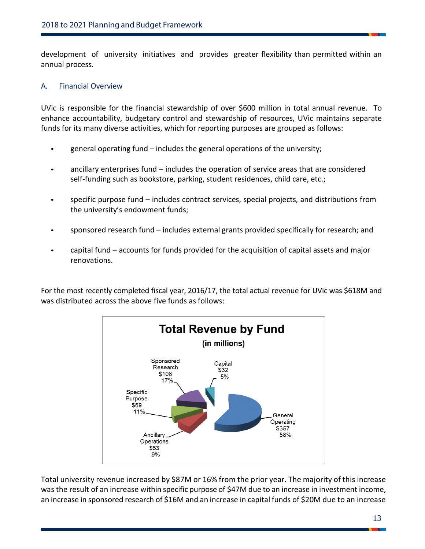development of university initiatives and provides greater flexibility than permitted within an annual process.

#### <span id="page-13-0"></span>A. Financial Overview

UVic is responsible for the financial stewardship of over \$600 million in total annual revenue. To enhance accountability, budgetary control and stewardship of resources, UVic maintains separate funds for its many diverse activities, which for reporting purposes are grouped as follows:

- general operating fund includes the general operations of the university;
- ancillary enterprises fund includes the operation of service areas that are considered self-funding such as bookstore, parking, student residences, child care, etc.;
- specific purpose fund includes contract services, special projects, and distributions from the university's endowment funds;
- sponsored research fund includes external grants provided specifically for research; and
- capital fund accounts for funds provided for the acquisition of capital assets and major renovations.

For the most recently completed fiscal year, 2016/17, the total actual revenue for UVic was \$618M and was distributed across the above five funds as follows:



Total university revenue increased by \$87M or 16% from the prior year. The majority of this increase was the result of an increase within specific purpose of \$47M due to an increase in investment income, an increase in sponsored research of \$16M and an increase in capital funds of \$20M due to an increase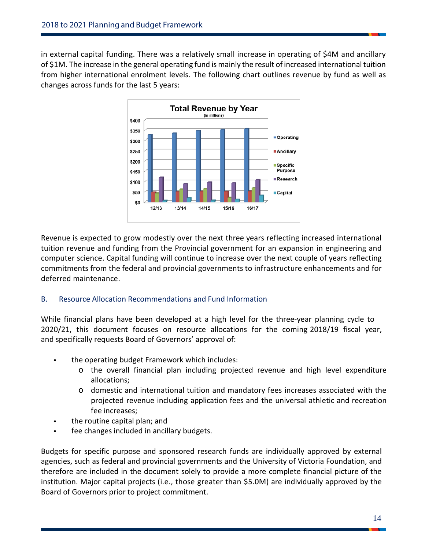in external capital funding. There was a relatively small increase in operating of \$4M and ancillary of \$1M. The increase in the general operating fund is mainly the result of increased international tuition from higher international enrolment levels. The following chart outlines revenue by fund as well as changes across funds for the last 5 years:



Revenue is expected to grow modestly over the next three years reflecting increased international tuition revenue and funding from the Provincial government for an expansion in engineering and computer science. Capital funding will continue to increase over the next couple of years reflecting commitments from the federal and provincial governments to infrastructure enhancements and for deferred maintenance.

#### <span id="page-14-0"></span>B. Resource Allocation Recommendations and Fund Information

While financial plans have been developed at a high level for the three-year planning cycle to 2020/21, this document focuses on resource allocations for the coming 2018/19 fiscal year, and specifically requests Board of Governors' approval of:

- the operating budget Framework which includes:
	- o the overall financial plan including projected revenue and high level expenditure allocations;
	- o domestic and international tuition and mandatory fees increases associated with the projected revenue including application fees and the universal athletic and recreation fee increases;
- the routine capital plan; and
- fee changes included in ancillary budgets.

Budgets for specific purpose and sponsored research funds are individually approved by external agencies, such as federal and provincial governments and the University of Victoria Foundation, and therefore are included in the document solely to provide a more complete financial picture of the institution. Major capital projects (i.e., those greater than \$5.0M) are individually approved by the Board of Governors prior to project commitment.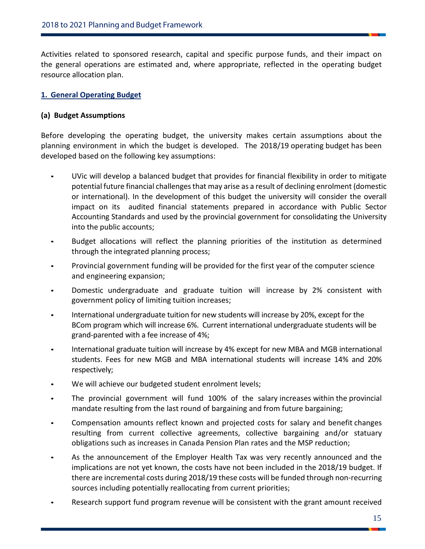Activities related to sponsored research, capital and specific purpose funds, and their impact on the general operations are estimated and, where appropriate, reflected in the operating budget resource allocation plan.

#### <span id="page-15-0"></span>**1. General Operating Budget**

#### **(a) Budget Assumptions**

Before developing the operating budget, the university makes certain assumptions about the planning environment in which the budget is developed. The 2018/19 operating budget has been developed based on the following key assumptions:

- UVic will develop a balanced budget that provides for financial flexibility in order to mitigate potential future financial challenges that may arise as a result of declining enrolment (domestic or international). In the development of this budget the university will consider the overall impact on its audited financial statements prepared in accordance with Public Sector Accounting Standards and used by the provincial government for consolidating the University into the public accounts;
- Budget allocations will reflect the planning priorities of the institution as determined through the integrated planning process;
- Provincial government funding will be provided for the first year of the computer science and engineering expansion;
- Domestic undergraduate and graduate tuition will increase by 2% consistent with government policy of limiting tuition increases;
- International undergraduate tuition for new students will increase by 20%, except for the BCom program which will increase 6%. Current international undergraduate students will be grand-parented with a fee increase of 4%;
- International graduate tuition will increase by 4% except for new MBA and MGB international students. Fees for new MGB and MBA international students will increase 14% and 20% respectively;
- We will achieve our budgeted student enrolment levels;
- The provincial government will fund 100% of the salary increases within the provincial mandate resulting from the last round of bargaining and from future bargaining;
- Compensation amounts reflect known and projected costs for salary and benefit changes resulting from current collective agreements, collective bargaining and/or statuary obligations such as increases in Canada Pension Plan rates and the MSP reduction;
- As the announcement of the Employer Health Tax was very recently announced and the implications are not yet known, the costs have not been included in the 2018/19 budget. If there are incremental costs during 2018/19 these costs will be funded through non-recurring sources including potentially reallocating from current priorities;
- Research support fund program revenue will be consistent with the grant amount received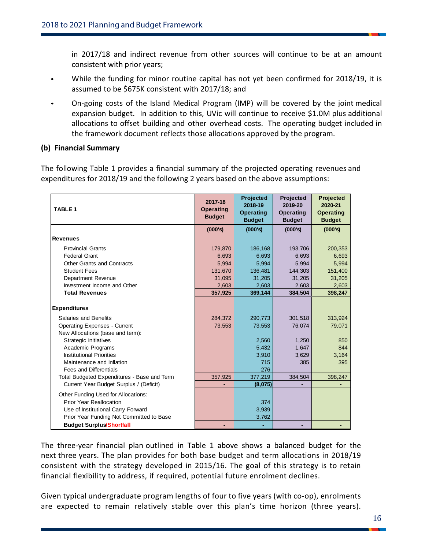in 2017/18 and indirect revenue from other sources will continue to be at an amount consistent with prior years;

- While the funding for minor routine capital has not yet been confirmed for 2018/19, it is assumed to be \$675K consistent with 2017/18; and
- On-going costs of the Island Medical Program (IMP) will be covered by the joint medical expansion budget. In addition to this, UVic will continue to receive \$1.0M plus additional allocations to offset building and other overhead costs. The operating budget included in the framework document reflects those allocations approved by the program.

#### **(b) Financial Summary**

The following Table 1 provides a financial summary of the projected operating revenues and expenditures for 2018/19 and the following 2 years based on the above assumptions:

| <b>TABLE 1</b>                                                                                                                                          | 2017-18<br><b>Operating</b><br><b>Budget</b> | <b>Projected</b><br>2018-19<br><b>Operating</b><br><b>Budget</b> | Projected<br>2019-20<br><b>Operating</b><br><b>Budget</b> | Projected<br>2020-21<br><b>Operating</b><br><b>Budget</b> |
|---------------------------------------------------------------------------------------------------------------------------------------------------------|----------------------------------------------|------------------------------------------------------------------|-----------------------------------------------------------|-----------------------------------------------------------|
|                                                                                                                                                         | (000's)                                      | (000's)                                                          | (000's)                                                   | (000's)                                                   |
| <b>Revenues</b>                                                                                                                                         |                                              |                                                                  |                                                           |                                                           |
| <b>Provincial Grants</b>                                                                                                                                | 179,870                                      | 186,168                                                          | 193,706                                                   | 200,353                                                   |
| <b>Federal Grant</b>                                                                                                                                    | 6,693                                        | 6,693                                                            | 6,693                                                     | 6,693                                                     |
| Other Grants and Contracts                                                                                                                              | 5,994                                        | 5,994                                                            | 5,994                                                     | 5,994                                                     |
| <b>Student Fees</b>                                                                                                                                     | 131,670                                      | 136,481                                                          | 144,303                                                   | 151,400                                                   |
| Department Revenue                                                                                                                                      | 31,095                                       | 31,205                                                           | 31,205                                                    | 31,205                                                    |
| Investment Income and Other                                                                                                                             | 2,603                                        | 2,603                                                            | 2,603                                                     | 2,603                                                     |
| <b>Total Revenues</b>                                                                                                                                   | 357,925                                      | 369,144                                                          | 384,504                                                   | 398,247                                                   |
| <b>Expenditures</b>                                                                                                                                     |                                              |                                                                  |                                                           |                                                           |
| Salaries and Benefits                                                                                                                                   | 284,372                                      | 290,773                                                          | 301,518                                                   | 313,924                                                   |
| <b>Operating Expenses - Current</b>                                                                                                                     | 73,553                                       | 73,553                                                           | 76,074                                                    | 79,071                                                    |
| New Allocations (base and term):                                                                                                                        |                                              |                                                                  |                                                           |                                                           |
| Strategic Initiatives                                                                                                                                   |                                              | 2,560                                                            | 1,250                                                     | 850                                                       |
| <b>Academic Programs</b>                                                                                                                                |                                              | 5,432                                                            | 1,647                                                     | 844                                                       |
| <b>Institutional Priorities</b>                                                                                                                         |                                              | 3,910                                                            | 3,629                                                     | 3,164                                                     |
| Maintenance and Inflation                                                                                                                               |                                              | 715                                                              | 385                                                       | 395                                                       |
| Fees and Differentials                                                                                                                                  |                                              | 276                                                              |                                                           |                                                           |
| Total Budgeted Expenditures - Base and Term                                                                                                             | 357,925                                      | 377,219                                                          | 384,504                                                   | 398,247                                                   |
| Current Year Budget Surplus / (Deficit)                                                                                                                 |                                              | (8,075)                                                          |                                                           |                                                           |
| Other Funding Used for Allocations:<br><b>Prior Year Reallocation</b><br>Use of Institutional Carry Forward<br>Prior Year Funding Not Committed to Base |                                              | 374<br>3,939<br>3,762                                            |                                                           |                                                           |
| <b>Budget Surplus/Shortfall</b>                                                                                                                         |                                              |                                                                  |                                                           |                                                           |

The three-year financial plan outlined in Table 1 above shows a balanced budget for the next three years. The plan provides for both base budget and term allocations in 2018/19 consistent with the strategy developed in 2015/16. The goal of this strategy is to retain financial flexibility to address, if required, potential future enrolment declines.

Given typical undergraduate program lengths of four to five years (with co-op), enrolments are expected to remain relatively stable over this plan's time horizon (three years).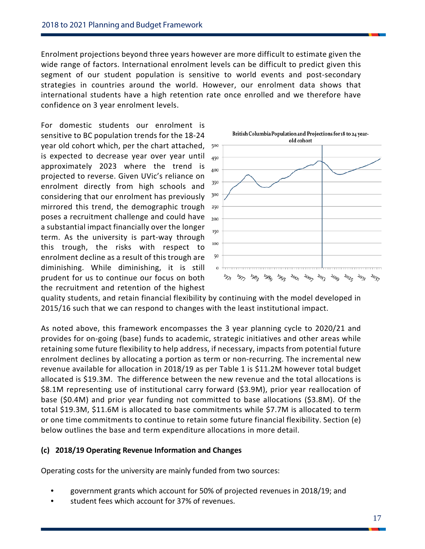Enrolment projections beyond three years however are more difficult to estimate given the wide range of factors. International enrolment levels can be difficult to predict given this segment of our student population is sensitive to world events and post-secondary strategies in countries around the world. However, our enrolment data shows that international students have a high retention rate once enrolled and we therefore have confidence on 3 year enrolment levels.

For domestic students our enrolment is sensitive to BC population trends for the 18-24 year old cohort which, per the chart attached, is expected to decrease year over year until  $450$ approximately 2023 where the trend is projected to reverse. Given UVic's reliance on enrolment directly from high schools and considering that our enrolment has previously mirrored this trend, the demographic trough poses a recruitment challenge and could have a substantial impact financially over the longer term. As the university is part-way through this trough, the risks with respect to enrolment decline as a result of this trough are diminishing. While diminishing, it is still prudent for us to continue our focus on both the recruitment and retention of the highest



quality students, and retain financial flexibility by continuing with the model developed in 2015/16 such that we can respond to changes with the least institutional impact.

As noted above, this framework encompasses the 3 year planning cycle to 2020/21 and provides for on-going (base) funds to academic, strategic initiatives and other areas while retaining some future flexibility to help address, if necessary, impacts from potential future enrolment declines by allocating a portion as term or non-recurring. The incremental new revenue available for allocation in 2018/19 as per Table 1 is \$11.2M however total budget allocated is \$19.3M. The difference between the new revenue and the total allocations is \$8.1M representing use of institutional carry forward (\$3.9M), prior year reallocation of base (\$0.4M) and prior year funding not committed to base allocations (\$3.8M). Of the total \$19.3M, \$11.6M is allocated to base commitments while \$7.7M is allocated to term or one time commitments to continue to retain some future financial flexibility. Section (e) below outlines the base and term expenditure allocations in more detail.

#### **(c) 2018/19 Operating Revenue Information and Changes**

Operating costs for the university are mainly funded from two sources:

- government grants which account for 50% of projected revenues in 2018/19; and
- student fees which account for 37% of revenues.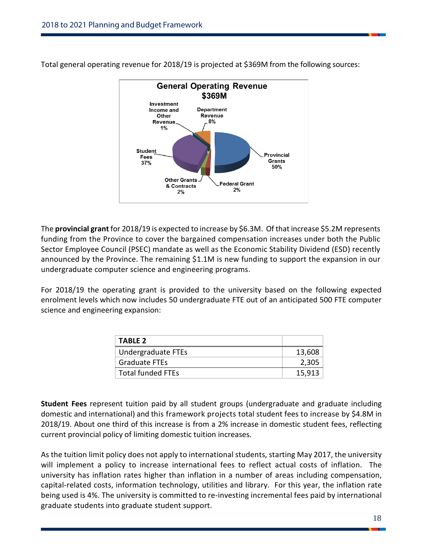

Total general operating revenue for 2018/19 is projected at \$369M from the following sources:

The **provincial grant** for 2018/19 is expected to increase by \$6.3M. Of that increase \$5.2M represents funding from the Province to cover the bargained compensation increases under both the Public Sector Employee Council (PSEC) mandate as well as the Economic Stability Dividend (ESD) recently announced by the Province. The remaining \$1.1M is new funding to support the expansion in our undergraduate computer science and engineering programs.

For 2018/19 the operating grant is provided to the university based on the following expected enrolment levels which now includes 50 undergraduate FTE out of an anticipated 500 FTE computer science and engineering expansion:

| <b>TABLE 2</b>       |        |
|----------------------|--------|
| Undergraduate FTEs   | 13,608 |
| <b>Graduate FTEs</b> | 2,305  |
| Total funded FTEs    | 15,913 |

**Student Fees** represent tuition paid by all student groups (undergraduate and graduate including domestic and international) and this framework projects total student fees to increase by \$4.8M in 2018/19. About one third of this increase is from a 2% increase in domestic student fees, reflecting current provincial policy of limiting domestic tuition increases.

As the tuition limit policy does not apply to international students, starting May 2017, the university will implement a policy to increase international fees to reflect actual costs of inflation. The university has inflation rates higher than inflation in a number of areas including compensation, capital-related costs, information technology, utilities and library. For this year, the inflation rate being used is 4%. The university is committed to re-investing incremental fees paid by international graduate students into graduate student support.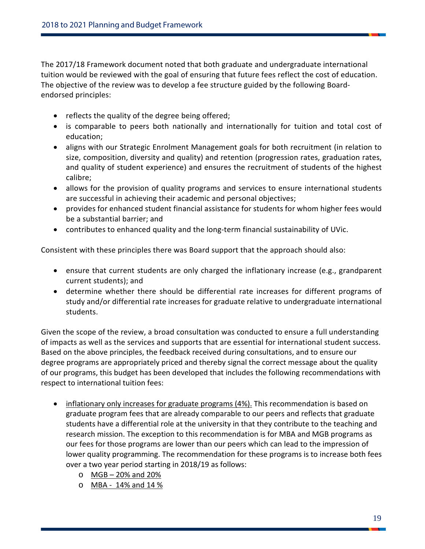The 2017/18 Framework document noted that both graduate and undergraduate international tuition would be reviewed with the goal of ensuring that future fees reflect the cost of education. The objective of the review was to develop a fee structure guided by the following Boardendorsed principles:

- reflects the quality of the degree being offered;
- is comparable to peers both nationally and internationally for tuition and total cost of education;
- aligns with our Strategic Enrolment Management goals for both recruitment (in relation to size, composition, diversity and quality) and retention (progression rates, graduation rates, and quality of student experience) and ensures the recruitment of students of the highest calibre;
- allows for the provision of quality programs and services to ensure international students are successful in achieving their academic and personal objectives;
- provides for enhanced student financial assistance for students for whom higher fees would be a substantial barrier; and
- contributes to enhanced quality and the long-term financial sustainability of UVic.

Consistent with these principles there was Board support that the approach should also:

- ensure that current students are only charged the inflationary increase (e.g., grandparent current students); and
- determine whether there should be differential rate increases for different programs of study and/or differential rate increases for graduate relative to undergraduate international students.

Given the scope of the review, a broad consultation was conducted to ensure a full understanding of impacts as well as the services and supports that are essential for international student success. Based on the above principles, the feedback received during consultations, and to ensure our degree programs are appropriately priced and thereby signal the correct message about the quality of our programs, this budget has been developed that includes the following recommendations with respect to international tuition fees:

- inflationary only increases for graduate programs (4%). This recommendation is based on graduate program fees that are already comparable to our peers and reflects that graduate students have a differential role at the university in that they contribute to the teaching and research mission. The exception to this recommendation is for MBA and MGB programs as our fees for those programs are lower than our peers which can lead to the impression of lower quality programming. The recommendation for these programs is to increase both fees over a two year period starting in 2018/19 as follows:
	- $\circ$  MGB 20% and 20%
	- o MBA 14% and 14 %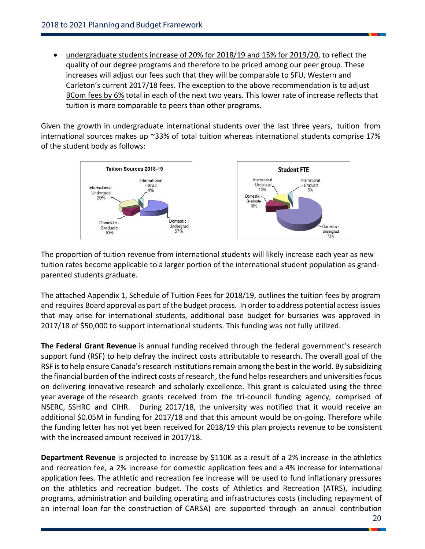• undergraduate students increase of 20% for 2018/19 and 15% for 2019/20, to reflect the quality of our degree programs and therefore to be priced among our peer group. These increases will adjust our fees such that they will be comparable to SFU, Western and Carleton's current 2017/18 fees. The exception to the above recommendation is to adjust BCom fees by 6% total in each of the next two years. This lower rate of increase reflects that tuition is more comparable to peers than other programs.

Given the growth in undergraduate international students over the last three years, tuition from international sources makes up ~33% of total tuition whereas international students comprise 17% of the student body as follows:



The proportion of tuition revenue from international students will likely increase each year as new tuition rates become applicable to a larger portion of the international student population as grandparented students graduate.

The attached Appendix 1, Schedule of Tuition Fees for 2018/19, outlines the tuition fees by program and requires Board approval as part of the budget process. In order to address potential access issues that may arise for international students, additional base budget for bursaries was approved in 2017/18 of \$50,000 to support international students. This funding was not fully utilized.

**The Federal Grant Revenue** is annual funding received through the federal government's research support fund (RSF) to help defray the indirect costs attributable to research. The overall goal of the RSF is to help ensure Canada's research institutions remain among the best in the world. By subsidizing the financial burden of the indirect costs of research, the fund helps researchers and universities focus on delivering innovative research and scholarly excellence. This grant is calculated using the three year average of the research grants received from the tri-council funding agency, comprised of NSERC, SSHRC and CIHR. During 2017/18, the university was notified that it would receive an additional \$0.05M in funding for 2017/18 and that this amount would be on-going. Therefore while the funding letter has not yet been received for 2018/19 this plan projects revenue to be consistent with the increased amount received in 2017/18.

**Department Revenue** is projected to increase by \$110K as a result of a 2% increase in the athletics and recreation fee, a 2% increase for domestic application fees and a 4% increase for international application fees. The athletic and recreation fee increase will be used to fund inflationary pressures on the athletics and recreation budget. The costs of Athletics and Recreation (ATRS), including programs, administration and building operating and infrastructures costs (including repayment of an internal loan for the construction of CARSA) are supported through an annual contribution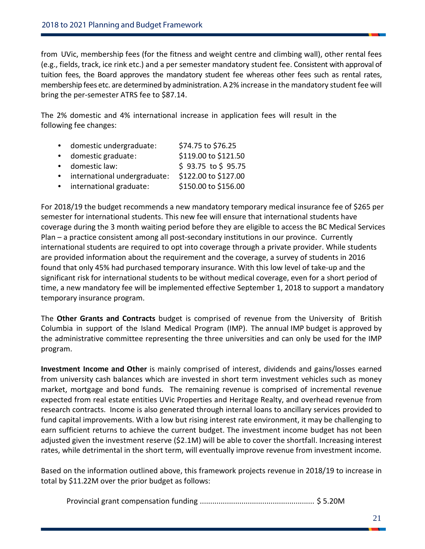from UVic, membership fees (for the fitness and weight centre and climbing wall), other rental fees (e.g., fields, track, ice rink etc.) and a per semester mandatory student fee. Consistent with approval of tuition fees, the Board approves the mandatory student fee whereas other fees such as rental rates, membership fees etc. are determined by administration. A 2% increase in the mandatory student fee will bring the per-semester ATRS fee to \$87.14.

The 2% domestic and 4% international increase in application fees will result in the following fee changes:

| $\bullet$ | domestic undergraduate:      | \$74.75 to \$76.25   |
|-----------|------------------------------|----------------------|
| $\bullet$ | domestic graduate:           | \$119.00 to \$121.50 |
| $\bullet$ | domestic law:                | $$93.75$ to $$95.75$ |
| $\bullet$ | international undergraduate: | \$122.00 to \$127.00 |
|           | international graduate:      | \$150.00 to \$156.00 |

For 2018/19 the budget recommends a new mandatory temporary medical insurance fee of \$265 per semester for international students. This new fee will ensure that international students have coverage during the 3 month waiting period before they are eligible to access the BC Medical Services Plan – a practice consistent among all post-secondary institutions in our province. Currently international students are required to opt into coverage through a private provider. While students are provided information about the requirement and the coverage, a survey of students in 2016 found that only 45% had purchased temporary insurance. With this low level of take-up and the significant risk for international students to be without medical coverage, even for a short period of time, a new mandatory fee will be implemented effective September 1, 2018 to support a mandatory temporary insurance program.

The **Other Grants and Contracts** budget is comprised of revenue from the University of British Columbia in support of the Island Medical Program (IMP). The annual IMP budget is approved by the administrative committee representing the three universities and can only be used for the IMP program.

**Investment Income and Other** is mainly comprised of interest, dividends and gains/losses earned from university cash balances which are invested in short term investment vehicles such as money market, mortgage and bond funds. The remaining revenue is comprised of incremental revenue expected from real estate entities UVic Properties and Heritage Realty, and overhead revenue from research contracts. Income is also generated through internal loans to ancillary services provided to fund capital improvements. With a low but rising interest rate environment, it may be challenging to earn sufficient returns to achieve the current budget. The investment income budget has not been adjusted given the investment reserve (\$2.1M) will be able to cover the shortfall. Increasing interest rates, while detrimental in the short term, will eventually improve revenue from investment income.

Based on the information outlined above, this framework projects revenue in 2018/19 to increase in total by \$11.22M over the prior budget as follows:

Provincial grant compensation funding ....................................................... \$ 5.20M

21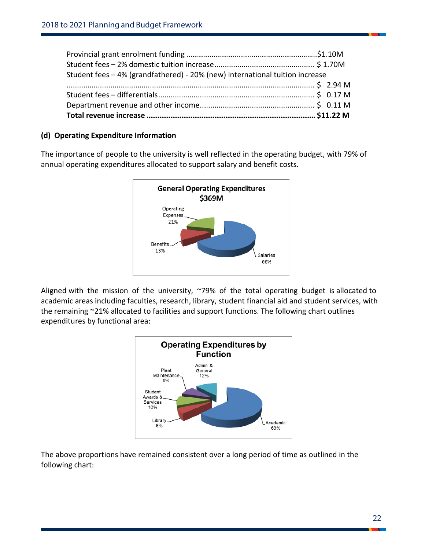| Student fees - 4% (grandfathered) - 20% (new) international tuition increase |  |
|------------------------------------------------------------------------------|--|
|                                                                              |  |
|                                                                              |  |
|                                                                              |  |
|                                                                              |  |

#### **(d) Operating Expenditure Information**

The importance of people to the university is well reflected in the operating budget, with 79% of annual operating expenditures allocated to support salary and benefit costs.



Aligned with the mission of the university, ~79% of the total operating budget is allocated to academic areas including faculties, research, library, student financial aid and student services, with the remaining ~21% allocated to facilities and support functions. The following chart outlines expenditures by functional area:



The above proportions have remained consistent over a long period of time as outlined in the following chart: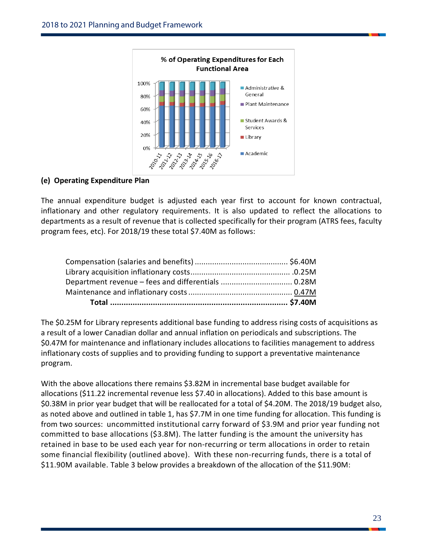

#### **(e) Operating Expenditure Plan**

The annual expenditure budget is adjusted each year first to account for known contractual, inflationary and other regulatory requirements. It is also updated to reflect the allocations to departments as a result of revenue that is collected specifically for their program (ATRS fees, faculty program fees, etc). For 2018/19 these total \$7.40M as follows:

| Department revenue - fees and differentials  0.28M |  |
|----------------------------------------------------|--|
|                                                    |  |
|                                                    |  |

The \$0.25M for Library represents additional base funding to address rising costs of acquisitions as a result of a lower Canadian dollar and annual inflation on periodicals and subscriptions. The \$0.47M for maintenance and inflationary includes allocations to facilities management to address inflationary costs of supplies and to providing funding to support a preventative maintenance program.

With the above allocations there remains \$3.82M in incremental base budget available for allocations (\$11.22 incremental revenue less \$7.40 in allocations). Added to this base amount is \$0.38M in prior year budget that will be reallocated for a total of \$4.20M. The 2018/19 budget also, as noted above and outlined in table 1, has \$7.7M in one time funding for allocation. This funding is from two sources: uncommitted institutional carry forward of \$3.9M and prior year funding not committed to base allocations (\$3.8M). The latter funding is the amount the university has retained in base to be used each year for non-recurring or term allocations in order to retain some financial flexibility (outlined above). With these non-recurring funds, there is a total of \$11.90M available. Table 3 below provides a breakdown of the allocation of the \$11.90M: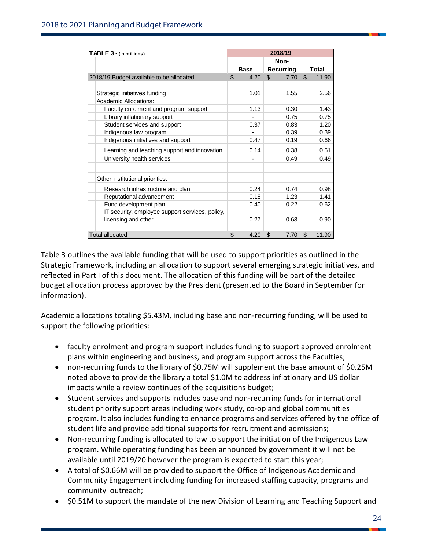| TABLE 3 - (in millions)                         | 2018/19     |                  |                         |  |
|-------------------------------------------------|-------------|------------------|-------------------------|--|
|                                                 | Non-        |                  |                         |  |
|                                                 | <b>Base</b> | <b>Recurring</b> | <b>Total</b>            |  |
| 2018/19 Budget available to be allocated        | \$<br>4.20  | \$<br>7.70       | $\mathfrak{L}$<br>11.90 |  |
|                                                 |             |                  |                         |  |
| Strategic initiatives funding                   | 1.01        | 1.55             | 2.56                    |  |
| <b>Academic Allocations:</b>                    |             |                  |                         |  |
| Faculty enrolment and program support           | 1.13        | 0.30             | 1.43                    |  |
| Library inflationary support                    |             | 0.75             | 0.75                    |  |
| Student services and support                    | 0.37        | 0.83             | 1.20                    |  |
| Indigenous law program                          |             | 0.39             | 0.39                    |  |
| Indigenous initiatives and support              | 0.47        | 0.19             | 0.66                    |  |
| Learning and teaching support and innovation    | 0.14        | 0.38             | 0.51                    |  |
| University health services                      |             | 0.49             | 0.49                    |  |
| Other Institutional priorities:                 |             |                  |                         |  |
| Research infrastructure and plan                | 0.24        | 0.74             | 0.98                    |  |
| Reputational advancement                        | 0.18        | 1.23             | 1.41                    |  |
| Fund development plan                           | 0.40        | 0.22             | 0.62                    |  |
| IT security, employee support services, policy, |             |                  |                         |  |
| licensing and other                             | 0.27        | 0.63             | 0.90                    |  |
|                                                 |             |                  |                         |  |
| <b>Total allocated</b>                          | \$<br>4.20  | 7.70<br>\$       | \$<br>11.90             |  |

Table 3 outlines the available funding that will be used to support priorities as outlined in the Strategic Framework, including an allocation to support several emerging strategic initiatives, and reflected in Part I of this document. The allocation of this funding will be part of the detailed budget allocation process approved by the President (presented to the Board in September for information).

Academic allocations totaling \$5.43M, including base and non-recurring funding, will be used to support the following priorities:

- faculty enrolment and program support includes funding to support approved enrolment plans within engineering and business, and program support across the Faculties;
- non-recurring funds to the library of \$0.75M will supplement the base amount of \$0.25M noted above to provide the library a total \$1.0M to address inflationary and US dollar impacts while a review continues of the acquisitions budget;
- Student services and supports includes base and non-recurring funds for international student priority support areas including work study, co-op and global communities program. It also includes funding to enhance programs and services offered by the office of student life and provide additional supports for recruitment and admissions;
- Non-recurring funding is allocated to law to support the initiation of the Indigenous Law program. While operating funding has been announced by government it will not be available until 2019/20 however the program is expected to start this year;
- A total of \$0.66M will be provided to support the Office of Indigenous Academic and Community Engagement including funding for increased staffing capacity, programs and community outreach;
- \$0.51M to support the mandate of the new Division of Learning and Teaching Support and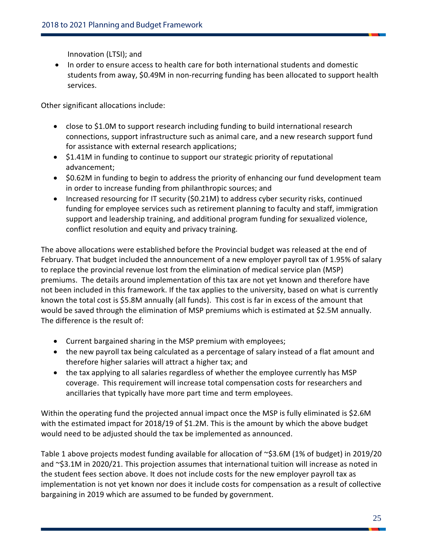Innovation (LTSI); and

• In order to ensure access to health care for both international students and domestic students from away, \$0.49M in non-recurring funding has been allocated to support health services.

Other significant allocations include:

- close to \$1.0M to support research including funding to build international research connections, support infrastructure such as animal care, and a new research support fund for assistance with external research applications;
- \$1.41M in funding to continue to support our strategic priority of reputational advancement;
- \$0.62M in funding to begin to address the priority of enhancing our fund development team in order to increase funding from philanthropic sources; and
- Increased resourcing for IT security (\$0.21M) to address cyber security risks, continued funding for employee services such as retirement planning to faculty and staff, immigration support and leadership training, and additional program funding for sexualized violence, conflict resolution and equity and privacy training.

The above allocations were established before the Provincial budget was released at the end of February. That budget included the announcement of a new employer payroll tax of 1.95% of salary to replace the provincial revenue lost from the elimination of medical service plan (MSP) premiums. The details around implementation of this tax are not yet known and therefore have not been included in this framework. If the tax applies to the university, based on what is currently known the total cost is \$5.8M annually (all funds). This cost is far in excess of the amount that would be saved through the elimination of MSP premiums which is estimated at \$2.5M annually. The difference is the result of:

- Current bargained sharing in the MSP premium with employees;
- the new payroll tax being calculated as a percentage of salary instead of a flat amount and therefore higher salaries will attract a higher tax; and
- the tax applying to all salaries regardless of whether the employee currently has MSP coverage. This requirement will increase total compensation costs for researchers and ancillaries that typically have more part time and term employees.

Within the operating fund the projected annual impact once the MSP is fully eliminated is \$2.6M with the estimated impact for 2018/19 of \$1.2M. This is the amount by which the above budget would need to be adjusted should the tax be implemented as announced.

Table 1 above projects modest funding available for allocation of ~\$3.6M (1% of budget) in 2019/20 and ~\$3.1M in 2020/21. This projection assumes that international tuition will increase as noted in the student fees section above. It does not include costs for the new employer payroll tax as implementation is not yet known nor does it include costs for compensation as a result of collective bargaining in 2019 which are assumed to be funded by government.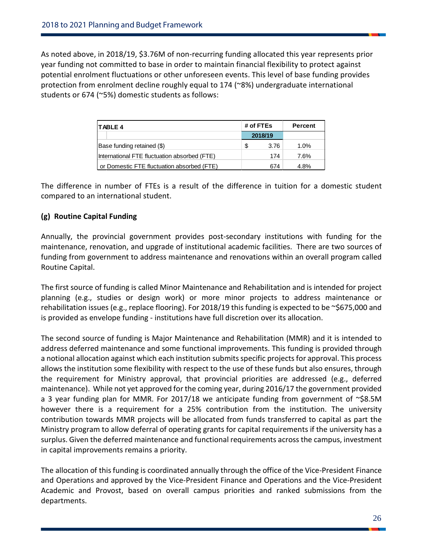As noted above, in 2018/19, \$3.76M of non-recurring funding allocated this year represents prior year funding not committed to base in order to maintain financial flexibility to protect against potential enrolment fluctuations or other unforeseen events. This level of base funding provides protection from enrolment decline roughly equal to 174 (~8%) undergraduate international students or 674 (~5%) domestic students as follows:

| ITABLE 4                                     |   | # of FTEs | <b>Percent</b> |
|----------------------------------------------|---|-----------|----------------|
|                                              |   | 2018/19   |                |
| Base funding retained (\$)                   | S | 3.76      | 1.0%           |
| International FTE fluctuation absorbed (FTE) |   | 174       | 7.6%           |
| or Domestic FTE fluctuation absorbed (FTE)   |   | 674       | 4.8%           |

The difference in number of FTEs is a result of the difference in tuition for a domestic student compared to an international student.

#### **(g) Routine Capital Funding**

Annually, the provincial government provides post-secondary institutions with funding for the maintenance, renovation, and upgrade of institutional academic facilities. There are two sources of funding from government to address maintenance and renovations within an overall program called Routine Capital.

The first source of funding is called Minor Maintenance and Rehabilitation and is intended for project planning (e.g., studies or design work) or more minor projects to address maintenance or rehabilitation issues (e.g., replace flooring). For 2018/19 this funding is expected to be ~\$675,000 and is provided as envelope funding - institutions have full discretion over its allocation.

The second source of funding is Major Maintenance and Rehabilitation (MMR) and it is intended to address deferred maintenance and some functional improvements. This funding is provided through a notional allocation against which each institution submits specific projects for approval. This process allows the institution some flexibility with respect to the use of these funds but also ensures, through the requirement for Ministry approval, that provincial priorities are addressed (e.g., deferred maintenance). While not yet approved for the coming year, during 2016/17 the government provided a 3 year funding plan for MMR. For 2017/18 we anticipate funding from government of ~\$8.5M however there is a requirement for a 25% contribution from the institution. The university contribution towards MMR projects will be allocated from funds transferred to capital as part the Ministry program to allow deferral of operating grants for capital requirements if the university has a surplus. Given the deferred maintenance and functional requirements across the campus, investment in capital improvements remains a priority.

The allocation of this funding is coordinated annually through the office of the Vice-President Finance and Operations and approved by the Vice-President Finance and Operations and the Vice-President Academic and Provost, based on overall campus priorities and ranked submissions from the departments.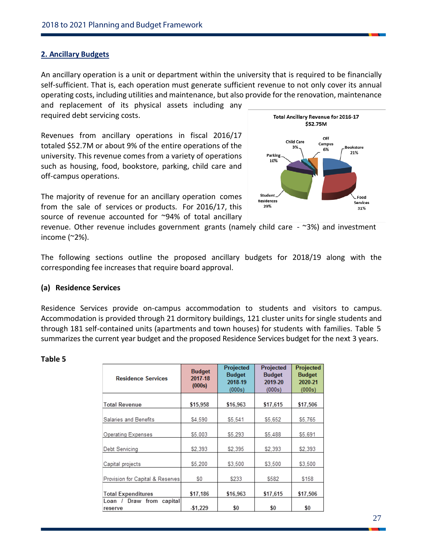#### <span id="page-27-0"></span>**2. Ancillary Budgets**

An ancillary operation is a unit or department within the university that is required to be financially self-sufficient. That is, each operation must generate sufficient revenue to not only cover its annual operating costs, including utilities and maintenance, but also provide for the renovation, maintenance

and replacement of its physical assets including any required debt servicing costs.

Revenues from ancillary operations in fiscal 2016/17 totaled \$52.7M or about 9% of the entire operations of the university. This revenue comes from a variety of operations such as housing, food, bookstore, parking, child care and off-campus operations.

Total Ancillary Revenue for 2016-17 \$52.75M Off Child Care Campus 3% **Bookstore** 6% 21% Parking 10% Student Food Residences **Services** 29% 31%

The majority of revenue for an ancillary operation comes from the sale of services or products. For 2016/17, this source of revenue accounted for ~94% of total ancillary

revenue. Other revenue includes government grants (namely child care - ~3%) and investment income (~2%).

The following sections outline the proposed ancillary budgets for 2018/19 along with the corresponding fee increases that require board approval.

#### **(a) Residence Services**

Residence Services provide on-campus accommodation to students and visitors to campus. Accommodation is provided through 21 dormitory buildings, 121 cluster units for single students and through 181 self-contained units (apartments and town houses) for students with families. Table 5 summarizes the current year budget and the proposed Residence Services budget for the next 3 years.

| <b>Residence Services</b>                   | <b>Budget</b><br>2017-18<br>(000s) | Projected<br><b>Budget</b><br>2018-19<br>(000s) | <b>Projected</b><br><b>Budget</b><br>2019-20<br>(000s) | Projected<br><b>Budget</b><br>2020-21<br>(000s) |
|---------------------------------------------|------------------------------------|-------------------------------------------------|--------------------------------------------------------|-------------------------------------------------|
| <b>Total Revenue</b>                        | \$15,958                           | \$16,963                                        | \$17,615                                               | \$17,506                                        |
| Salaries and Benefits                       | \$4.590                            | \$5.541                                         | \$5.652                                                | \$5.765                                         |
| Operating Expenses                          | \$5,003                            | \$5,293                                         | \$5,488                                                | \$5,691                                         |
| Debt Servicing                              | \$2.393                            | \$2,395                                         | \$2,393                                                | \$2,393                                         |
| Capital projects                            | \$5.200                            | \$3.500                                         | \$3.500                                                | \$3.500                                         |
| Provision for Capital & Reserves            | \$0                                | \$233                                           | \$582                                                  | \$158                                           |
| <b>Total Expenditures</b>                   | \$17,186                           | \$16,963                                        | \$17,615                                               | \$17,506                                        |
| capital<br>$Loan$ /<br>Draw from<br>reserve | $-$1,229$                          | \$0                                             | \$0                                                    | \$0                                             |

#### **Table 5**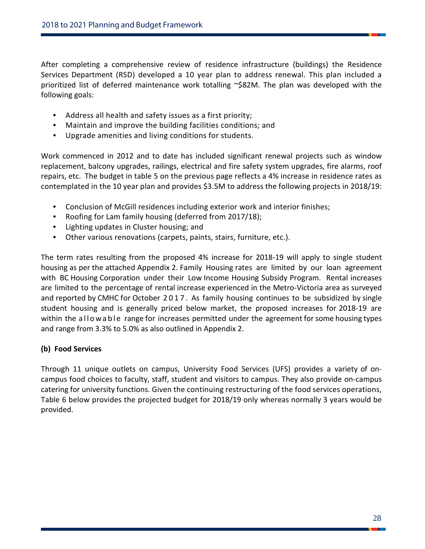After completing a comprehensive review of residence infrastructure (buildings) the Residence Services Department (RSD) developed a 10 year plan to address renewal. This plan included a prioritized list of deferred maintenance work totalling ~\$82M. The plan was developed with the following goals:

- Address all health and safety issues as a first priority;
- Maintain and improve the building facilities conditions; and
- Upgrade amenities and living conditions for students.

Work commenced in 2012 and to date has included significant renewal projects such as window replacement, balcony upgrades, railings, electrical and fire safety system upgrades, fire alarms, roof repairs, etc. The budget in table 5 on the previous page reflects a 4% increase in residence rates as contemplated in the 10 year plan and provides \$3.5M to address the following projects in 2018/19:

- Conclusion of McGill residences including exterior work and interior finishes;
- Roofing for Lam family housing (deferred from 2017/18);
- Lighting updates in Cluster housing; and
- Other various renovations (carpets, paints, stairs, furniture, etc.).

The term rates resulting from the proposed 4% increase for 2018-19 will apply to single student housing as per the attached Appendix 2. Family Housing rates are limited by our loan agreement with BC Housing Corporation under their Low Income Housing Subsidy Program. Rental increases are limited to the percentage of rental increase experienced in the Metro-Victoria area as surveyed and reported by CMHC for October 2017. As family housing continues to be subsidized by single student housing and is generally priced below market, the proposed increases for 2018-19 are within the allowable range for increases permitted under the agreement for some housing types and range from 3.3% to 5.0% as also outlined in Appendix 2.

#### **(b) Food Services**

Through 11 unique outlets on campus, University Food Services (UFS) provides a variety of oncampus food choices to faculty, staff, student and visitors to campus. They also provide on-campus catering for university functions. Given the continuing restructuring of the food services operations, Table 6 below provides the projected budget for 2018/19 only whereas normally 3 years would be provided.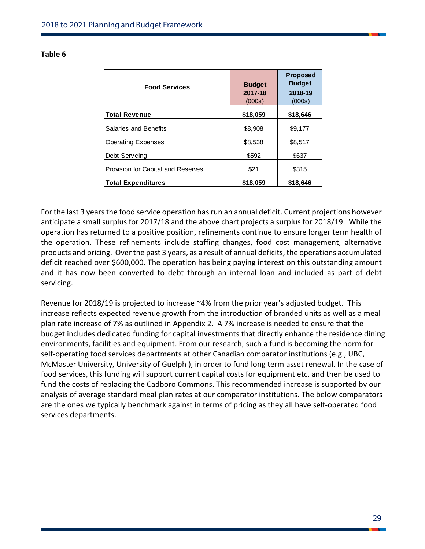| <b>Food Services</b>               | <b>Budget</b><br>2017-18<br>(000s) | <b>Proposed</b><br><b>Budget</b><br>2018-19<br>(000s) |
|------------------------------------|------------------------------------|-------------------------------------------------------|
| <b>Total Revenue</b>               | \$18,059                           | \$18,646                                              |
| <b>Salaries and Benefits</b>       | \$8,908                            | \$9,177                                               |
| <b>Operating Expenses</b>          | \$8,538                            | \$8,517                                               |
| Debt Servicing                     | \$592                              | \$637                                                 |
| Provision for Capital and Reserves | \$21                               | \$315                                                 |
| <b>Total Expenditures</b>          | \$18,059                           | \$18,646                                              |

#### **Table 6**

For the last 3 years the food service operation has run an annual deficit. Current projections however anticipate a small surplus for 2017/18 and the above chart projects a surplus for 2018/19. While the operation has returned to a positive position, refinements continue to ensure longer term health of the operation. These refinements include staffing changes, food cost management, alternative products and pricing. Over the past 3 years, as a result of annual deficits, the operations accumulated deficit reached over \$600,000. The operation has being paying interest on this outstanding amount and it has now been converted to debt through an internal loan and included as part of debt servicing.

Revenue for 2018/19 is projected to increase ~4% from the prior year's adjusted budget. This increase reflects expected revenue growth from the introduction of branded units as well as a meal plan rate increase of 7% as outlined in Appendix 2. A 7% increase is needed to ensure that the budget includes dedicated funding for capital investments that directly enhance the residence dining environments, facilities and equipment. From our research, such a fund is becoming the norm for self-operating food services departments at other Canadian comparator institutions (e.g., UBC, McMaster University, University of Guelph ), in order to fund long term asset renewal. In the case of food services, this funding will support current capital costs for equipment etc. and then be used to fund the costs of replacing the Cadboro Commons. This recommended increase is supported by our analysis of average standard meal plan rates at our comparator institutions. The below comparators are the ones we typically benchmark against in terms of pricing as they all have self-operated food services departments.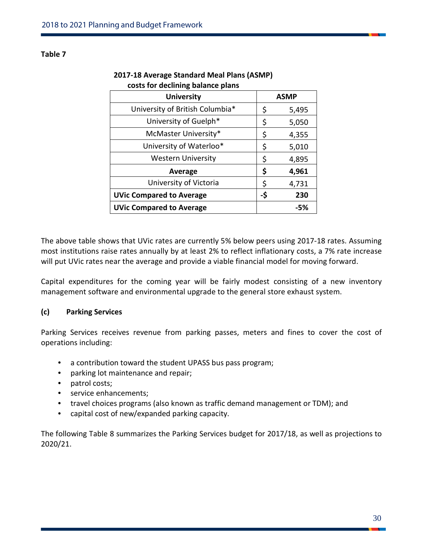**Table 7**

| $\frac{1}{2}$                    |    |       |
|----------------------------------|----|-------|
| <b>University</b><br><b>ASMP</b> |    |       |
| University of British Columbia*  | \$ | 5,495 |
| University of Guelph*            | \$ | 5,050 |
| McMaster University*             | \$ | 4,355 |
| University of Waterloo*          | \$ | 5,010 |
| <b>Western University</b>        | \$ | 4,895 |
| Average                          | \$ | 4,961 |
| University of Victoria           | \$ | 4,731 |
| <b>UVic Compared to Average</b>  |    | 230   |
| <b>UVic Compared to Average</b>  |    | -5%   |

#### **2017-18 Average Standard Meal Plans (ASMP) costs for declining balance plans**

The above table shows that UVic rates are currently 5% below peers using 2017-18 rates. Assuming most institutions raise rates annually by at least 2% to reflect inflationary costs, a 7% rate increase will put UVic rates near the average and provide a viable financial model for moving forward.

Capital expenditures for the coming year will be fairly modest consisting of a new inventory management software and environmental upgrade to the general store exhaust system.

#### **(c) Parking Services**

Parking Services receives revenue from parking passes, meters and fines to cover the cost of operations including:

- a contribution toward the student UPASS bus pass program;
- parking lot maintenance and repair;
- patrol costs;
- service enhancements;
- travel choices programs (also known as traffic demand management or TDM); and
- capital cost of new/expanded parking capacity.

The following Table 8 summarizes the Parking Services budget for 2017/18, as well as projections to 2020/21.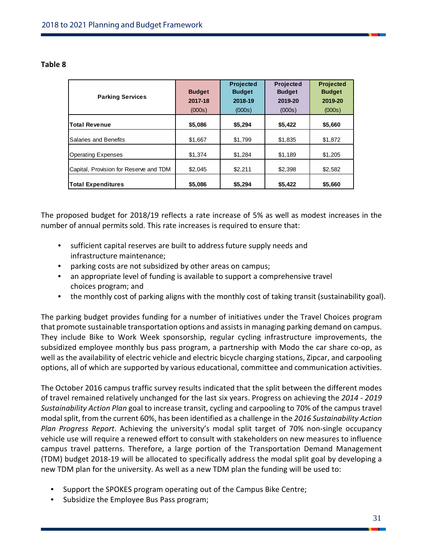| ⊣gi⊢ |  |
|------|--|
|------|--|

| <b>Parking Services</b>                | <b>Budget</b><br>2017-18<br>(000s) | Projected<br><b>Budget</b><br>2018-19<br>(000s) | <b>Projected</b><br><b>Budget</b><br>2019-20<br>(000s) | Projected<br><b>Budget</b><br>2019-20<br>(000s) |
|----------------------------------------|------------------------------------|-------------------------------------------------|--------------------------------------------------------|-------------------------------------------------|
| <b>Total Revenue</b>                   | \$5,086                            | \$5,294                                         | \$5,422                                                | \$5,660                                         |
| <b>Salaries and Benefits</b>           | \$1,667                            | \$1,799                                         | \$1,835                                                | \$1,872                                         |
| <b>Operating Expenses</b>              | \$1,374                            | \$1,284                                         | \$1,189                                                | \$1,205                                         |
| Capital, Provision for Reserve and TDM | \$2,045                            | \$2,211                                         | \$2,398                                                | \$2,582                                         |
| <b>Total Expenditures</b>              | \$5,086                            | \$5,294                                         | \$5,422                                                | \$5,660                                         |

The proposed budget for 2018/19 reflects a rate increase of 5% as well as modest increases in the number of annual permits sold. This rate increases is required to ensure that:

- sufficient capital reserves are built to address future supply needs and infrastructure maintenance;
- parking costs are not subsidized by other areas on campus;
- an appropriate level of funding is available to support a comprehensive travel choices program; and
- the monthly cost of parking aligns with the monthly cost of taking transit (sustainability goal).

The parking budget provides funding for a number of initiatives under the Travel Choices program that promote sustainable transportation options and assistsin managing parking demand on campus. They include Bike to Work Week sponsorship, regular cycling infrastructure improvements, the subsidized employee monthly bus pass program, a partnership with Modo the car share co-op, as well as the availability of electric vehicle and electric bicycle charging stations, Zipcar, and carpooling options, all of which are supported by various educational, committee and communication activities.

The October 2016 campus traffic survey results indicated that the split between the different modes of travel remained relatively unchanged for the last six years. Progress on achieving the *2014 - 2019 Sustainability Action Plan* goal to increase transit, cycling and carpooling to 70% of the campus travel modal split, from the current 60%, has been identified as a challenge in the *2016 Sustainability Action Plan Progress Report*. Achieving the university's modal split target of 70% non-single occupancy vehicle use will require a renewed effort to consult with stakeholders on new measures to influence campus travel patterns. Therefore, a large portion of the Transportation Demand Management (TDM) budget 2018-19 will be allocated to specifically address the modal split goal by developing a new TDM plan for the university. As well as a new TDM plan the funding will be used to:

- Support the SPOKES program operating out of the Campus Bike Centre;
- Subsidize the Employee Bus Pass program;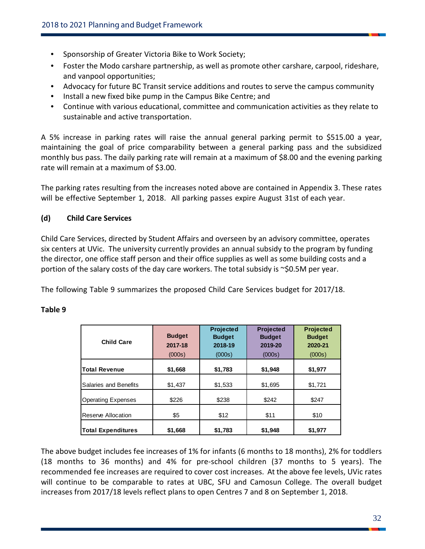- Sponsorship of Greater Victoria Bike to Work Society;
- Foster the Modo carshare partnership, as well as promote other carshare, carpool, rideshare, and vanpool opportunities;
- Advocacy for future BC Transit service additions and routes to serve the campus community
- Install a new fixed bike pump in the Campus Bike Centre; and
- Continue with various educational, committee and communication activities as they relate to sustainable and active transportation.

A 5% increase in parking rates will raise the annual general parking permit to \$515.00 a year, maintaining the goal of price comparability between a general parking pass and the subsidized monthly bus pass. The daily parking rate will remain at a maximum of \$8.00 and the evening parking rate will remain at a maximum of \$3.00.

The parking rates resulting from the increases noted above are contained in Appendix 3. These rates will be effective September 1, 2018. All parking passes expire August 31st of each year.

#### **(d) Child Care Services**

Child Care Services, directed by Student Affairs and overseen by an advisory committee, operates six centers at UVic. The university currently provides an annual subsidy to the program by funding the director, one office staff person and their office supplies as well as some building costs and a portion of the salary costs of the day care workers. The total subsidy is ~\$0.5M per year.

The following Table 9 summarizes the proposed Child Care Services budget for 2017/18.

| <b>Child Care</b>         | <b>Budget</b><br>2017-18<br>(000s) | <b>Projected</b><br><b>Budget</b><br>2018-19<br>(000s) | <b>Projected</b><br><b>Budget</b><br>2019-20<br>(000s) | <b>Projected</b><br><b>Budget</b><br>2020-21<br>(000s) |
|---------------------------|------------------------------------|--------------------------------------------------------|--------------------------------------------------------|--------------------------------------------------------|
| <b>Total Revenue</b>      | \$1,668                            | \$1,783                                                | \$1,948                                                | \$1,977                                                |
| Salaries and Benefits     | \$1,437                            | \$1,533                                                | \$1,695                                                | \$1,721                                                |
| <b>Operating Expenses</b> | \$226                              | \$238                                                  | \$242                                                  | \$247                                                  |
| Reserve Allocation        | \$5                                | \$12                                                   | \$11                                                   | \$10                                                   |
| <b>Total Expenditures</b> | \$1,668                            | \$1,783                                                | \$1,948                                                | \$1,977                                                |

#### **Table 9**

The above budget includes fee increases of 1% for infants (6 months to 18 months), 2% for toddlers (18 months to 36 months) and 4% for pre-school children (37 months to 5 years). The recommended fee increases are required to cover cost increases. At the above fee levels, UVic rates will continue to be comparable to rates at UBC, SFU and Camosun College. The overall budget increases from 2017/18 levels reflect plans to open Centres 7 and 8 on September 1, 2018.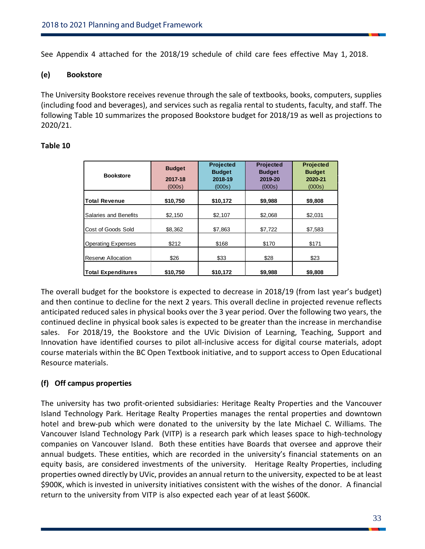See Appendix 4 attached for the 2018/19 schedule of child care fees effective May 1, 2018.

#### **(e) Bookstore**

The University Bookstore receives revenue through the sale of textbooks, books, computers, supplies (including food and beverages), and services such as regalia rental to students, faculty, and staff. The following Table 10 summarizes the proposed Bookstore budget for 2018/19 as well as projections to 2020/21.

#### **Table 10**

| <b>Bookstore</b>          | <b>Budget</b><br>2017-18<br>(000s) | Projected<br><b>Budget</b><br>2018-19<br>(000s) | <b>Projected</b><br><b>Budget</b><br>2019-20<br>(000s) | <b>Projected</b><br><b>Budget</b><br>2020-21<br>(000s) |
|---------------------------|------------------------------------|-------------------------------------------------|--------------------------------------------------------|--------------------------------------------------------|
| <b>Total Revenue</b>      | \$10,750                           | \$10,172                                        | \$9,988                                                | \$9,808                                                |
| Salaries and Benefits     | \$2,150                            | \$2,107                                         | \$2,068                                                | \$2,031                                                |
| Cost of Goods Sold        | \$8.362                            | \$7,863                                         | \$7,722                                                | \$7,583                                                |
| <b>Operating Expenses</b> | \$212                              | \$168                                           | \$170                                                  | \$171                                                  |
| Reserve Allocation        | \$26                               | \$33                                            | \$28                                                   | \$23                                                   |
| <b>Total Expenditures</b> | \$10,750                           | \$10,172                                        | \$9,988                                                | \$9,808                                                |

The overall budget for the bookstore is expected to decrease in 2018/19 (from last year's budget) and then continue to decline for the next 2 years. This overall decline in projected revenue reflects anticipated reduced sales in physical books over the 3 year period. Over the following two years, the continued decline in physical book sales is expected to be greater than the increase in merchandise sales. For 2018/19, the Bookstore and the UVic Division of Learning, Teaching, Support and Innovation have identified courses to pilot all-inclusive access for digital course materials, adopt course materials within the BC Open Textbook initiative, and to support access to Open Educational Resource materials.

#### **(f) Off campus properties**

The university has two profit-oriented subsidiaries: Heritage Realty Properties and the Vancouver Island Technology Park. Heritage Realty Properties manages the rental properties and downtown hotel and brew-pub which were donated to the university by the late Michael C. Williams. The Vancouver Island Technology Park (VITP) is a research park which leases space to high-technology companies on Vancouver Island. Both these entities have Boards that oversee and approve their annual budgets. These entities, which are recorded in the university's financial statements on an equity basis, are considered investments of the university. Heritage Realty Properties, including properties owned directly by UVic, provides an annual return to the university, expected to be at least \$900K, which is invested in university initiatives consistent with the wishes of the donor. A financial return to the university from VITP is also expected each year of at least \$600K.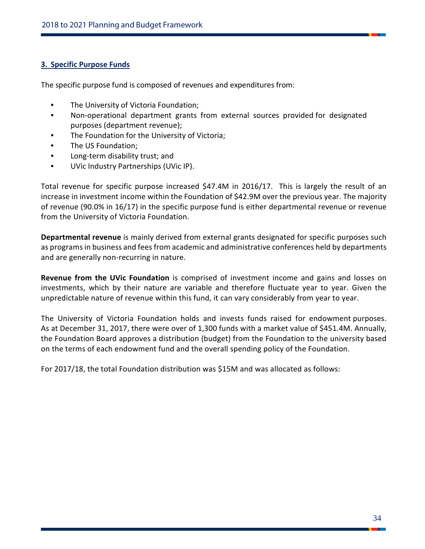#### <span id="page-34-0"></span>**3. Specific Purpose Funds**

The specific purpose fund is composed of revenues and expenditures from:

- The University of Victoria Foundation;
- Non-operational department grants from external sources provided for designated purposes (department revenue);
- The Foundation for the University of Victoria;
- The US Foundation;
- Long-term disability trust; and
- UVic Industry Partnerships (UVic IP).

Total revenue for specific purpose increased \$47.4M in 2016/17. This is largely the result of an increase in investment income within the Foundation of \$42.9M over the previous year. The majority of revenue (90.0% in 16/17) in the specific purpose fund is either departmental revenue or revenue from the University of Victoria Foundation.

**Departmental revenue** is mainly derived from external grants designated for specific purposes such as programs in business and fees from academic and administrative conferences held by departments and are generally non-recurring in nature.

**Revenue from the UVic Foundation** is comprised of investment income and gains and losses on investments, which by their nature are variable and therefore fluctuate year to year. Given the unpredictable nature of revenue within this fund, it can vary considerably from year to year.

The University of Victoria Foundation holds and invests funds raised for endowment purposes. As at December 31, 2017, there were over of 1,300 funds with a market value of \$451.4M. Annually, the Foundation Board approves a distribution (budget) from the Foundation to the university based on the terms of each endowment fund and the overall spending policy of the Foundation.

For 2017/18, the total Foundation distribution was \$15M and was allocated as follows: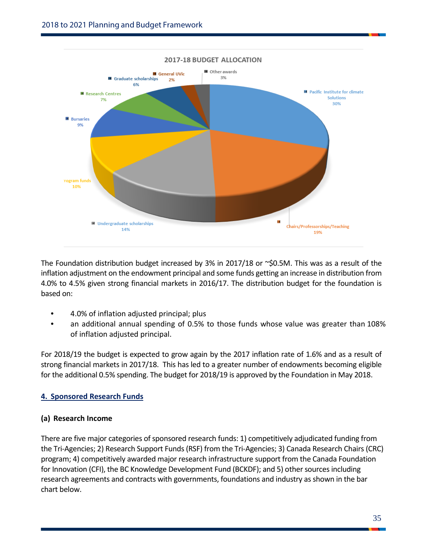

The Foundation distribution budget increased by 3% in 2017/18 or  $\sim$ \$0.5M. This was as a result of the inflation adjustment on the endowment principal and some funds getting an increase in distribution from 4.0% to 4.5% given strong financial markets in 2016/17. The distribution budget for the foundation is based on:

- 4.0% of inflation adjusted principal; plus
- an additional annual spending of 0.5% to those funds whose value was greater than 108% of inflation adjusted principal.

For 2018/19 the budget is expected to grow again by the 2017 inflation rate of 1.6% and as a result of strong financial markets in 2017/18. This has led to a greater number of endowments becoming eligible for the additional 0.5% spending. The budget for 2018/19 is approved by the Foundation in May 2018.

#### <span id="page-35-0"></span>**4. Sponsored Research Funds**

#### **(a) Research Income**

There are five major categories of sponsored research funds: 1) competitively adjudicated funding from the Tri-Agencies; 2) Research Support Funds (RSF) from the Tri-Agencies; 3) Canada Research Chairs (CRC) program; 4) competitively awarded major research infrastructure support from the Canada Foundation for Innovation (CFI), the BC Knowledge Development Fund (BCKDF); and 5) other sources including research agreements and contracts with governments, foundations and industry as shown in the bar chart below.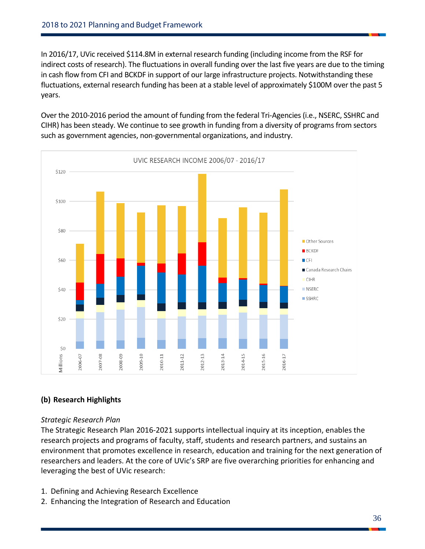In 2016/17, UVic received \$114.8M in external research funding (including income from the RSF for indirect costs of research). The fluctuations in overall funding over the last five years are due to the timing in cash flow from CFI and BCKDF in support of our large infrastructure projects. Notwithstanding these fluctuations, external research funding has been at a stable level of approximately \$100M over the past 5 years.

Over the 2010-2016 period the amount of funding from the federal Tri-Agencies (i.e., NSERC, SSHRC and CIHR) has been steady. We continue to see growth in funding from a diversity of programs from sectors such as government agencies, non-governmental organizations, and industry.



#### **(b) Research Highlights**

#### *Strategic Research Plan*

The Strategic Research Plan 2016-2021 supports intellectual inquiry at its inception, enables the research projects and programs of faculty, staff, students and research partners, and sustains an environment that promotes excellence in research, education and training for the next generation of researchers and leaders. At the core of UVic's SRP are five overarching priorities for enhancing and leveraging the best of UVic research:

- 1. Defining and Achieving Research Excellence
- 2. Enhancing the Integration of Research and Education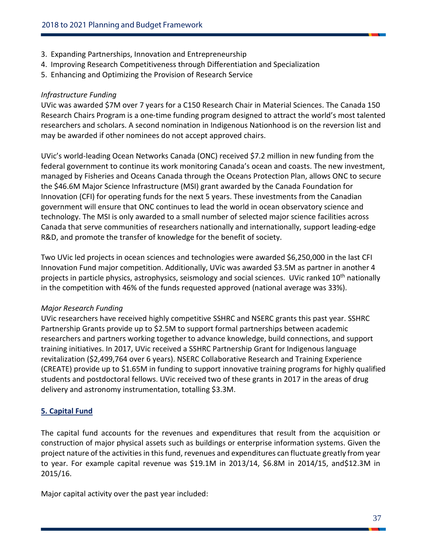- 3. Expanding Partnerships, Innovation and Entrepreneurship
- 4. Improving Research Competitiveness through Differentiation and Specialization
- 5. Enhancing and Optimizing the Provision of Research Service

#### *Infrastructure Funding*

UVic was awarded \$7M over 7 years for a C150 Research Chair in Material Sciences. The Canada 150 Research Chairs Program is a one-time funding program designed to attract the world's most talented researchers and scholars. A second nomination in Indigenous Nationhood is on the reversion list and may be awarded if other nominees do not accept approved chairs.

UVic's world-leading Ocean Networks Canada (ONC) received \$7.2 million in new funding from the federal government to continue its work monitoring Canada's ocean and coasts. The new investment, managed by Fisheries and Oceans Canada through the Oceans Protection Plan, allows ONC to secure the \$46.6M Major Science Infrastructure (MSI) grant awarded by the Canada Foundation for Innovation (CFI) for operating funds for the next 5 years. These investments from the Canadian government will ensure that ONC continues to lead the world in ocean observatory science and technology. The MSI is only awarded to a small number of selected major science facilities across Canada that serve communities of researchers nationally and internationally, support leading-edge R&D, and promote the transfer of knowledge for the benefit of society.

Two UVic led projects in ocean sciences and technologies were awarded \$6,250,000 in the last CFI Innovation Fund major competition. Additionally, UVic was awarded \$3.5M as partner in another 4 projects in particle physics, astrophysics, seismology and social sciences. UVic ranked 10<sup>th</sup> nationally in the competition with 46% of the funds requested approved (national average was 33%).

#### *Major Research Funding*

UVic researchers have received highly competitive SSHRC and NSERC grants this past year. SSHRC Partnership Grants provide up to \$2.5M to support formal partnerships between academic researchers and partners working together to advance knowledge, build connections, and support training initiatives. In 2017, UVic received a SSHRC Partnership Grant for Indigenous language revitalization (\$2,499,764 over 6 years). NSERC Collaborative Research and Training Experience (CREATE) provide up to \$1.65M in funding to support innovative training programs for highly qualified students and postdoctoral fellows. UVic received two of these grants in 2017 in the areas of drug delivery and astronomy instrumentation, totalling \$3.3M.

#### <span id="page-37-0"></span>**5. Capital Fund**

The capital fund accounts for the revenues and expenditures that result from the acquisition or construction of major physical assets such as buildings or enterprise information systems. Given the project nature of the activities in this fund, revenues and expenditures can fluctuate greatly from year to year. For example capital revenue was \$19.1M in 2013/14, \$6.8M in 2014/15, and\$12.3M in 2015/16.

Major capital activity over the past year included: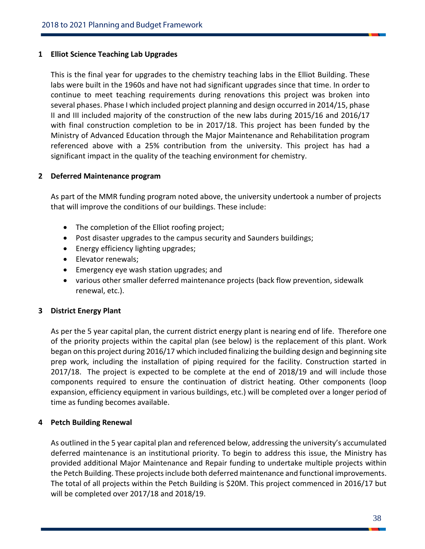#### **1 Elliot Science Teaching Lab Upgrades**

This is the final year for upgrades to the chemistry teaching labs in the Elliot Building. These labs were built in the 1960s and have not had significant upgrades since that time. In order to continue to meet teaching requirements during renovations this project was broken into several phases. Phase I which included project planning and design occurred in 2014/15, phase II and III included majority of the construction of the new labs during 2015/16 and 2016/17 with final construction completion to be in 2017/18. This project has been funded by the Ministry of Advanced Education through the Major Maintenance and Rehabilitation program referenced above with a 25% contribution from the university. This project has had a significant impact in the quality of the teaching environment for chemistry.

#### **2 Deferred Maintenance program**

As part of the MMR funding program noted above, the university undertook a number of projects that will improve the conditions of our buildings. These include:

- The completion of the Elliot roofing project;
- Post disaster upgrades to the campus security and Saunders buildings;
- Energy efficiency lighting upgrades;
- Elevator renewals;
- Emergency eye wash station upgrades; and
- various other smaller deferred maintenance projects (back flow prevention, sidewalk renewal, etc.).

#### **3 District Energy Plant**

As per the 5 year capital plan, the current district energy plant is nearing end of life. Therefore one of the priority projects within the capital plan (see below) is the replacement of this plant. Work began on this project during 2016/17 which included finalizing the building design and beginning site prep work, including the installation of piping required for the facility. Construction started in 2017/18. The project is expected to be complete at the end of 2018/19 and will include those components required to ensure the continuation of district heating. Other components (loop expansion, efficiency equipment in various buildings, etc.) will be completed over a longer period of time as funding becomes available.

#### **4 Petch Building Renewal**

As outlined in the 5 year capital plan and referenced below, addressing the university's accumulated deferred maintenance is an institutional priority. To begin to address this issue, the Ministry has provided additional Major Maintenance and Repair funding to undertake multiple projects within the Petch Building. These projects include both deferred maintenance and functional improvements. The total of all projects within the Petch Building is \$20M. This project commenced in 2016/17 but will be completed over 2017/18 and 2018/19.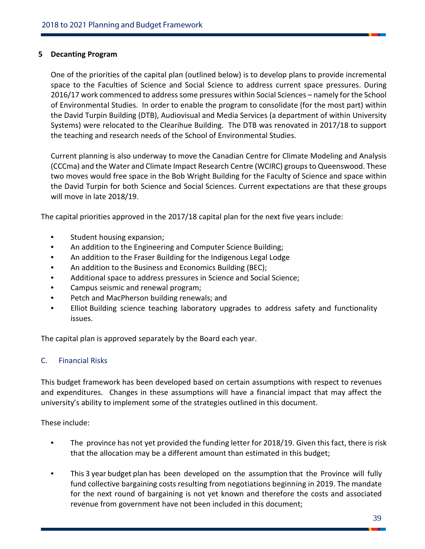#### **5 Decanting Program**

One of the priorities of the capital plan (outlined below) is to develop plans to provide incremental space to the Faculties of Science and Social Science to address current space pressures. During 2016/17 work commenced to address some pressures within Social Sciences – namely for the School of Environmental Studies. In order to enable the program to consolidate (for the most part) within the David Turpin Building (DTB), Audiovisual and Media Services (a department of within University Systems) were relocated to the Clearihue Building. The DTB was renovated in 2017/18 to support the teaching and research needs of the School of Environmental Studies.

Current planning is also underway to move the Canadian Centre for Climate Modeling and Analysis (CCCma) and the Water and Climate Impact Research Centre (WCIRC) groups to Queenswood. These two moves would free space in the Bob Wright Building for the Faculty of Science and space within the David Turpin for both Science and Social Sciences. Current expectations are that these groups will move in late 2018/19.

The capital priorities approved in the 2017/18 capital plan for the next five years include:

- Student housing expansion;
- An addition to the Engineering and Computer Science Building;
- An addition to the Fraser Building for the Indigenous Legal Lodge
- An addition to the Business and Economics Building (BEC);
- Additional space to address pressures in Science and Social Science;
- Campus seismic and renewal program;
- Petch and MacPherson building renewals; and
- Elliot Building science teaching laboratory upgrades to address safety and functionality issues.

The capital plan is approved separately by the Board each year.

#### <span id="page-39-0"></span>C. Financial Risks

This budget framework has been developed based on certain assumptions with respect to revenues and expenditures. Changes in these assumptions will have a financial impact that may affect the university's ability to implement some of the strategies outlined in this document.

These include:

- The province has not yet provided the funding letter for 2018/19. Given this fact, there is risk that the allocation may be a different amount than estimated in this budget;
- This 3 year budget plan has been developed on the assumption that the Province will fully fund collective bargaining costs resulting from negotiations beginning in 2019. The mandate for the next round of bargaining is not yet known and therefore the costs and associated revenue from government have not been included in this document;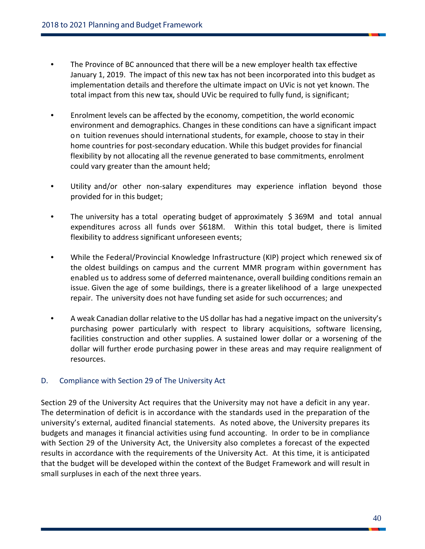- The Province of BC announced that there will be a new employer health tax effective January 1, 2019. The impact of this new tax has not been incorporated into this budget as implementation details and therefore the ultimate impact on UVic is not yet known. The total impact from this new tax, should UVic be required to fully fund, is significant;
- Enrolment levels can be affected by the economy, competition, the world economic environment and demographics. Changes in these conditions can have a significant impact on tuition revenues should international students, for example, choose to stay in their home countries for post-secondary education. While this budget provides for financial flexibility by not allocating all the revenue generated to base commitments, enrolment could vary greater than the amount held;
- Utility and/or other non-salary expenditures may experience inflation beyond those provided for in this budget;
- The university has a total operating budget of approximately \$369M and total annual expenditures across all funds over \$618M. Within this total budget, there is limited flexibility to address significant unforeseen events;
- While the Federal/Provincial Knowledge Infrastructure (KIP) project which renewed six of the oldest buildings on campus and the current MMR program within government has enabled us to address some of deferred maintenance, overall building conditions remain an issue. Given the age of some buildings, there is a greater likelihood of a large unexpected repair. The university does not have funding set aside for such occurrences; and
- A weak Canadian dollar relative to the US dollar has had a negative impact on the university's purchasing power particularly with respect to library acquisitions, software licensing, facilities construction and other supplies. A sustained lower dollar or a worsening of the dollar will further erode purchasing power in these areas and may require realignment of resources.

#### <span id="page-40-0"></span>D. Compliance with Section 29 of The University Act

Section 29 of the University Act requires that the University may not have a deficit in any year. The determination of deficit is in accordance with the standards used in the preparation of the university's external, audited financial statements. As noted above, the University prepares its budgets and manages it financial activities using fund accounting. In order to be in compliance with Section 29 of the University Act, the University also completes a forecast of the expected results in accordance with the requirements of the University Act. At this time, it is anticipated that the budget will be developed within the context of the Budget Framework and will result in small surpluses in each of the next three years.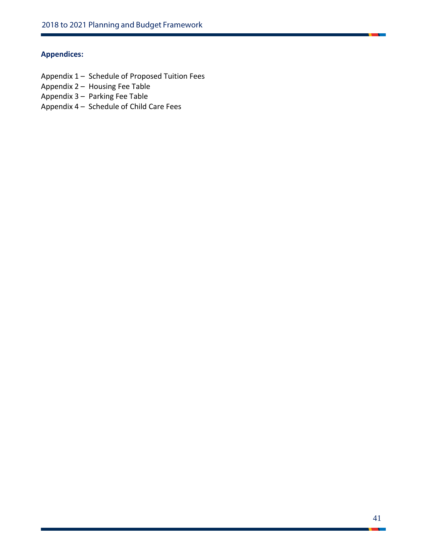#### <span id="page-41-0"></span>**Appendices:**

- Appendix 1 Schedule of Proposed Tuition Fees
- Appendix 2 Housing Fee Table
- Appendix 3 Parking Fee Table
- Appendix 4 Schedule of Child Care Fees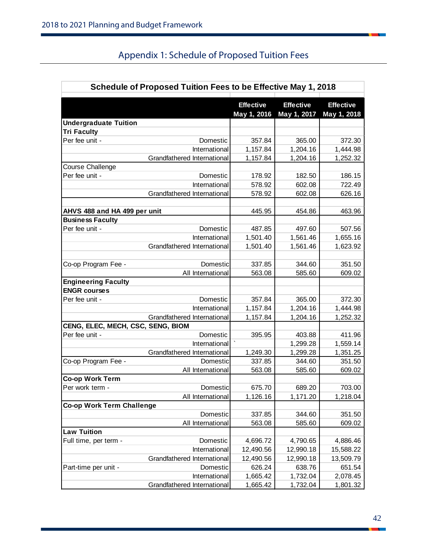<span id="page-42-0"></span>

| Schedule of Proposed Tuition Fees to be Effective May 1, 2018 |                             |                                 |                                 |                                 |  |
|---------------------------------------------------------------|-----------------------------|---------------------------------|---------------------------------|---------------------------------|--|
|                                                               |                             | <b>Effective</b><br>May 1, 2016 | <b>Effective</b><br>May 1, 2017 | <b>Effective</b><br>May 1, 2018 |  |
| <b>Undergraduate Tuition</b>                                  |                             |                                 |                                 |                                 |  |
| <b>Tri Faculty</b>                                            |                             |                                 |                                 |                                 |  |
| Per fee unit -                                                | Domestic                    | 357.84                          | 365.00                          | 372.30                          |  |
|                                                               | International               | 1,157.84                        | 1,204.16                        | 1,444.98                        |  |
|                                                               | Grandfathered International | 1,157.84                        | 1,204.16                        | 1,252.32                        |  |
| <b>Course Challenge</b>                                       |                             |                                 |                                 |                                 |  |
| Per fee unit -                                                | Domestic                    | 178.92                          | 182.50                          | 186.15                          |  |
|                                                               | International               | 578.92                          | 602.08                          | 722.49                          |  |
|                                                               | Grandfathered International | 578.92                          | 602.08                          | 626.16                          |  |
| AHVS 488 and HA 499 per unit                                  |                             | 445.95                          | 454.86                          | 463.96                          |  |
| <b>Business Faculty</b>                                       |                             |                                 |                                 |                                 |  |
| Per fee unit -                                                | Domestic                    | 487.85                          | 497.60                          | 507.56                          |  |
|                                                               | International               | 1,501.40                        | 1,561.46                        | 1,655.16                        |  |
|                                                               | Grandfathered International | 1,501.40                        | 1,561.46                        | 1,623.92                        |  |
|                                                               |                             |                                 |                                 |                                 |  |
| Co-op Program Fee -                                           | Domestic                    | 337.85                          | 344.60                          | 351.50                          |  |
|                                                               | All International           | 563.08                          | 585.60                          | 609.02                          |  |
| <b>Engineering Faculty</b>                                    |                             |                                 |                                 |                                 |  |
| <b>ENGR courses</b>                                           |                             |                                 |                                 |                                 |  |
| Per fee unit -                                                | Domestic                    | 357.84                          | 365.00                          | 372.30                          |  |
|                                                               | International               | 1,157.84                        | 1,204.16                        | 1,444.98                        |  |
|                                                               | Grandfathered International | 1,157.84                        | 1,204.16                        | 1,252.32                        |  |
| CENG, ELEC, MECH, CSC, SENG, BIOM                             |                             |                                 |                                 |                                 |  |
| Per fee unit -                                                | Domestic                    | 395.95                          | 403.88                          | 411.96                          |  |
|                                                               | International               |                                 | 1,299.28                        | 1,559.14                        |  |
|                                                               | Grandfathered International | 1,249.30                        | 1,299.28                        | 1,351.25                        |  |
| Co-op Program Fee -                                           | Domestic                    | 337.85                          | 344.60                          | 351.50                          |  |
|                                                               | All International           | 563.08                          | 585.60                          | 609.02                          |  |
| <b>Co-op Work Term</b>                                        |                             |                                 |                                 |                                 |  |
| Per work term -                                               | <b>Domestic</b>             | 675.70                          | 689.20                          | 703.00                          |  |
|                                                               | All International           | 1,126.16                        | 1,171.20                        | 1,218.04                        |  |
| <b>Co-op Work Term Challenge</b>                              |                             |                                 |                                 |                                 |  |
|                                                               | Domestic                    | 337.85                          | 344.60                          | 351.50                          |  |
|                                                               | All International           | 563.08                          | 585.60                          | 609.02                          |  |
| <b>Law Tuition</b>                                            |                             |                                 |                                 |                                 |  |
| Full time, per term -                                         | Domestic                    | 4,696.72                        | 4,790.65                        | 4,886.46                        |  |
|                                                               | International               | 12,490.56                       | 12,990.18                       | 15,588.22                       |  |
|                                                               | Grandfathered International | 12,490.56                       | 12,990.18                       | 13,509.79                       |  |
| Part-time per unit -                                          | Domestic                    | 626.24                          | 638.76                          | 651.54                          |  |
|                                                               | International               | 1,665.42                        | 1,732.04                        | 2,078.45                        |  |
|                                                               | Grandfathered International | 1,665.42                        | 1,732.04                        | 1,801.32                        |  |

 $\mathbf{L}$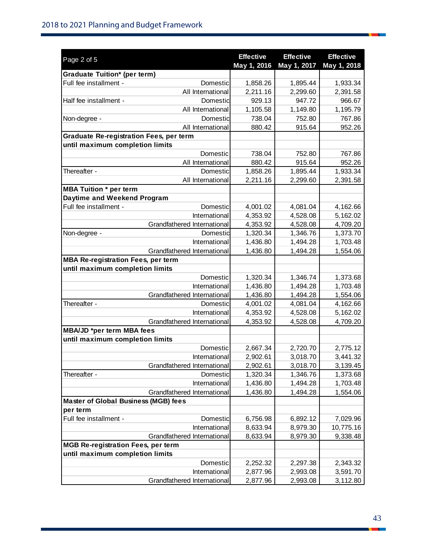| Page 2 of 5                                                  |                             | <b>Effective</b> | <b>Effective</b> | <b>Effective</b> |
|--------------------------------------------------------------|-----------------------------|------------------|------------------|------------------|
|                                                              |                             | May 1, 2016      | May 1, 2017      | May 1, 2018      |
| <b>Graduate Tuition* (per term)</b>                          |                             |                  |                  |                  |
| Full fee installment -                                       | Domestic                    | 1,858.26         | 1,895.44         | 1,933.34         |
|                                                              | All International           | 2,211.16         | 2,299.60         | 2,391.58         |
| Half fee installment -                                       | Domestic                    | 929.13           | 947.72           | 966.67           |
|                                                              | All International           | 1,105.58         | 1,149.80         | 1,195.79         |
| Non-degree -                                                 | Domestic                    | 738.04           | 752.80           | 767.86           |
|                                                              | All International           | 880.42           | 915.64           | 952.26           |
| <b>Graduate Re-registration Fees, per term</b>               |                             |                  |                  |                  |
| until maximum completion limits                              |                             |                  |                  |                  |
|                                                              | Domestic                    | 738.04           | 752.80           | 767.86           |
| Thereafter -                                                 | All International           | 880.42           | 915.64           | 952.26           |
|                                                              | Domestic                    | 1,858.26         | 1,895.44         | 1,933.34         |
|                                                              | All International           | 2,211.16         | 2,299.60         | 2,391.58         |
| <b>MBA Tuition * per term</b><br>Daytime and Weekend Program |                             |                  |                  |                  |
| Full fee installment -                                       | Domestic                    | 4,001.02         | 4,081.04         | 4,162.66         |
|                                                              | International               | 4,353.92         | 4,528.08         | 5,162.02         |
|                                                              | Grandfathered International | 4,353.92         | 4,528.08         | 4,709.20         |
| Non-degree -                                                 | Domestic                    | 1,320.34         | 1,346.76         | 1,373.70         |
|                                                              | International               | 1,436.80         | 1,494.28         | 1,703.48         |
|                                                              | Grandfathered International | 1,436.80         | 1,494.28         | 1,554.06         |
| <b>MBA Re-registration Fees, per term</b>                    |                             |                  |                  |                  |
| until maximum completion limits                              |                             |                  |                  |                  |
|                                                              | Domestic                    | 1,320.34         | 1,346.74         | 1,373.68         |
|                                                              | International               | 1,436.80         | 1,494.28         | 1,703.48         |
|                                                              | Grandfathered International | 1,436.80         | 1,494.28         | 1,554.06         |
| Thereafter -                                                 | Domestic                    | 4,001.02         | 4,081.04         | 4,162.66         |
|                                                              | International               | 4,353.92         | 4,528.08         | 5,162.02         |
|                                                              | Grandfathered International | 4,353.92         | 4,528.08         | 4,709.20         |
| <b>MBA/JD *per term MBA fees</b>                             |                             |                  |                  |                  |
| until maximum completion limits                              |                             |                  |                  |                  |
|                                                              | Domestic                    | 2,667.34         | 2,720.70         | 2,775.12         |
|                                                              | International               | 2,902.61         | 3,018.70         | 3,441.32         |
|                                                              | Grandfathered International | 2,902.61         | 3,018.70         | 3,139.45         |
| Thereafter -                                                 | Domestic                    | 1,320.34         | 1,346.76         | 1,373.68         |
|                                                              | International               | 1,436.80         | 1,494.28         | 1,703.48         |
|                                                              | Grandfathered International | 1,436.80         | 1,494.28         | 1,554.06         |
| <b>Master of Global Business (MGB) fees</b>                  |                             |                  |                  |                  |
| per term                                                     |                             |                  |                  |                  |
| Full fee installment -                                       | Domestic                    | 6,756.98         | 6,892.12         | 7,029.96         |
|                                                              | International               | 8,633.94         | 8,979.30         | 10,775.16        |
|                                                              | Grandfathered International | 8,633.94         | 8,979.30         | 9,338.48         |
| <b>MGB Re-registration Fees, per term</b>                    |                             |                  |                  |                  |
| until maximum completion limits                              |                             |                  |                  |                  |
|                                                              | Domestic                    | 2,252.32         | 2,297.38         | 2,343.32         |
|                                                              | International               | 2,877.96         | 2,993.08         | 3,591.70         |
|                                                              | Grandfathered International | 2,877.96         | 2,993.08         | 3,112.80         |

٦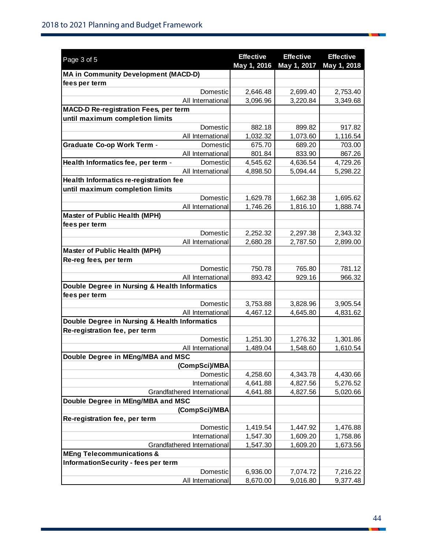| Page 3 of 5                                    | <b>Effective</b><br>May 1, 2016 | <b>Effective</b><br>May 1, 2017 | <b>Effective</b><br>May 1, 2018 |
|------------------------------------------------|---------------------------------|---------------------------------|---------------------------------|
| <b>MA in Community Development (MACD-D)</b>    |                                 |                                 |                                 |
| fees per term                                  |                                 |                                 |                                 |
| Domestic                                       | 2,646.48                        | 2,699.40                        | 2,753.40                        |
| All International                              | 3,096.96                        | 3,220.84                        | 3,349.68                        |
| <b>MACD-D Re-registration Fees, per term</b>   |                                 |                                 |                                 |
| until maximum completion limits                |                                 |                                 |                                 |
| Domestic                                       | 882.18                          | 899.82                          | 917.82                          |
| All International                              | 1,032.32                        | 1,073.60                        | 1,116.54                        |
| <b>Graduate Co-op Work Term -</b><br>Domestic  | 675.70                          | 689.20                          | 703.00                          |
| All International                              | 801.84                          | 833.90                          | 867.26                          |
| Health Informatics fee, per term -<br>Domestic | 4,545.62                        | 4,636.54                        | 4,729.26                        |
| All International                              | 4,898.50                        | 5,094.44                        | 5,298.22                        |
| Health Informatics re-registration fee         |                                 |                                 |                                 |
| until maximum completion limits                |                                 |                                 |                                 |
| Domestic                                       | 1,629.78                        | 1,662.38                        | 1,695.62                        |
| All International                              | 1,746.26                        | 1,816.10                        | 1,888.74                        |
| <b>Master of Public Health (MPH)</b>           |                                 |                                 |                                 |
| fees per term                                  |                                 |                                 |                                 |
| Domestic                                       | 2,252.32                        | 2,297.38                        | 2,343.32                        |
| All International                              | 2,680.28                        | 2,787.50                        | 2,899.00                        |
| <b>Master of Public Health (MPH)</b>           |                                 |                                 |                                 |
| Re-reg fees, per term                          |                                 |                                 |                                 |
| Domestic                                       | 750.78                          | 765.80                          | 781.12                          |
| All International                              | 893.42                          | 929.16                          | 966.32                          |
| Double Degree in Nursing & Health Informatics  |                                 |                                 |                                 |
| fees per term<br>Domestic                      |                                 |                                 |                                 |
| All International                              | 3,753.88<br>4,467.12            | 3,828.96<br>4,645.80            | 3,905.54<br>4,831.62            |
| Double Degree in Nursing & Health Informatics  |                                 |                                 |                                 |
| Re-registration fee, per term                  |                                 |                                 |                                 |
| Domestic                                       | 1,251.30                        | 1,276.32                        | 1,301.86                        |
| All International                              | 1,489.04                        | 1,548.60                        | 1,610.54                        |
| Double Degree in MEng/MBA and MSC              |                                 |                                 |                                 |
| (CompSci)/MBA                                  |                                 |                                 |                                 |
| Domestic                                       | 4,258.60                        | 4,343.78                        | 4,430.66                        |
| International                                  | 4,641.88                        | 4,827.56                        | 5,276.52                        |
| Grandfathered International                    | 4,641.88                        | 4,827.56                        | 5,020.66                        |
| Double Degree in MEng/MBA and MSC              |                                 |                                 |                                 |
| (CompSci)/MBA                                  |                                 |                                 |                                 |
| Re-registration fee, per term                  |                                 |                                 |                                 |
| Domestic                                       | 1,419.54                        | 1,447.92                        | 1,476.88                        |
| International                                  | 1,547.30                        | 1,609.20                        | 1,758.86                        |
| Grandfathered International                    | 1,547.30                        | 1,609.20                        | 1,673.56                        |
| <b>MEng Telecommunications &amp;</b>           |                                 |                                 |                                 |
| <b>InformationSecurity - fees per term</b>     |                                 |                                 |                                 |
| Domestic                                       | 6,936.00                        | 7,074.72                        | 7,216.22                        |
| All International                              | 8,670.00                        | 9,016.80                        | 9,377.48                        |

٦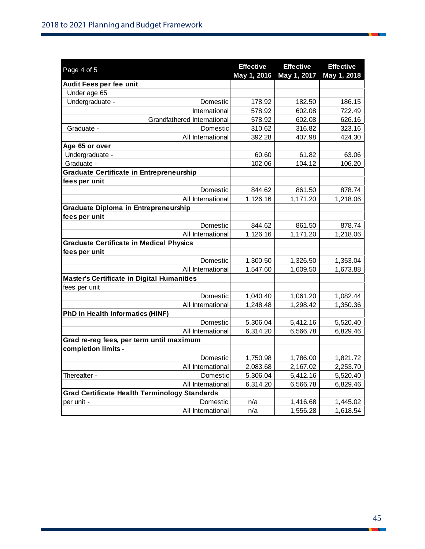| Page 4 of 5                                          | <b>Effective</b> | <b>Effective</b> | <b>Effective</b> |
|------------------------------------------------------|------------------|------------------|------------------|
| Audit Fees per fee unit                              | May 1, 2016      | May 1, 2017      | May 1, 2018      |
| Under age 65                                         |                  |                  |                  |
| Undergraduate -<br>Domestic                          | 178.92           | 182.50           | 186.15           |
| International                                        | 578.92           | 602.08           | 722.49           |
| Grandfathered International                          | 578.92           | 602.08           | 626.16           |
| Domestic<br>Graduate -                               | 310.62           | 316.82           | 323.16           |
| All International                                    | 392.28           | 407.98           | 424.30           |
| Age 65 or over                                       |                  |                  |                  |
| Undergraduate -                                      | 60.60            | 61.82            | 63.06            |
| Graduate -                                           | 102.06           | 104.12           | 106.20           |
| <b>Graduate Certificate in Entrepreneurship</b>      |                  |                  |                  |
| fees per unit                                        |                  |                  |                  |
| Domestic                                             | 844.62           | 861.50           | 878.74           |
| All International                                    | 1,126.16         | 1,171.20         | 1,218.06         |
| <b>Graduate Diploma in Entrepreneurship</b>          |                  |                  |                  |
| fees per unit                                        |                  |                  |                  |
| Domestic                                             | 844.62           | 861.50           | 878.74           |
| All International                                    | 1,126.16         | 1,171.20         | 1,218.06         |
| <b>Graduate Certificate in Medical Physics</b>       |                  |                  |                  |
| fees per unit                                        |                  |                  |                  |
| Domestic                                             | 1,300.50         | 1,326.50         | 1,353.04         |
| All International                                    | 1,547.60         | 1,609.50         | 1,673.88         |
| <b>Master's Certificate in Digital Humanities</b>    |                  |                  |                  |
| fees per unit                                        |                  |                  |                  |
| Domestic                                             | 1,040.40         | 1,061.20         | 1,082.44         |
| All International                                    | 1,248.48         | 1,298.42         | 1,350.36         |
| PhD in Health Informatics (HINF)                     |                  |                  |                  |
| Domestic                                             | 5,306.04         | 5,412.16         | 5,520.40         |
| All International                                    | 6,314.20         | 6,566.78         | 6,829.46         |
| Grad re-reg fees, per term until maximum             |                  |                  |                  |
| completion limits -                                  |                  |                  |                  |
| Domestic                                             | 1,750.98         | 1,786.00         | 1,821.72         |
| All International                                    | 2,083.68         | 2,167.02         | 2,253.70         |
| Thereafter -<br>Domestic                             | 5,306.04         | 5,412.16         | 5,520.40         |
| All International                                    | 6,314.20         | 6,566.78         | 6,829.46         |
| <b>Grad Certificate Health Terminology Standards</b> |                  |                  |                  |
| Domestic<br>per unit -                               | n/a              | 1,416.68         | 1,445.02         |
| All International                                    | n/a              | 1,556.28         | 1,618.54         |

r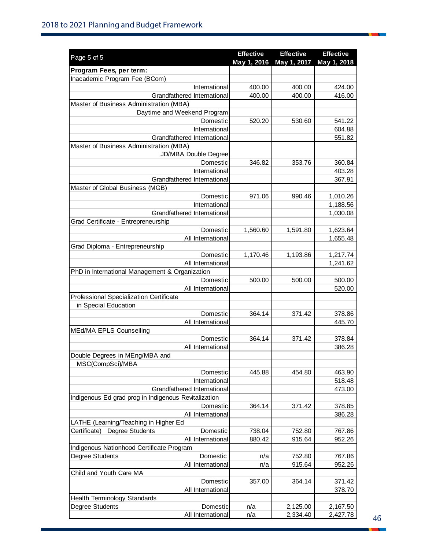| Page 5 of 5                                                             | <b>Effective</b> | <b>Effective</b> | <b>Effective</b> |
|-------------------------------------------------------------------------|------------------|------------------|------------------|
|                                                                         | May 1, 2016      | May 1, 2017      | May 1, 2018      |
| Program Fees, per term:                                                 |                  |                  |                  |
| Inacademic Program Fee (BCom)                                           |                  |                  |                  |
| International                                                           | 400.00           | 400.00           | 424.00           |
| Grandfathered International                                             | 400.00           | 400.00           | 416.00           |
| Master of Business Administration (MBA)                                 |                  |                  |                  |
| Daytime and Weekend Program                                             |                  |                  |                  |
| Domestic                                                                | 520.20           | 530.60           | 541.22           |
| International<br>Grandfathered International                            |                  |                  | 604.88<br>551.82 |
| Master of Business Administration (MBA)                                 |                  |                  |                  |
| JD/MBA Double Degree                                                    |                  |                  |                  |
| Domestic                                                                | 346.82           | 353.76           | 360.84           |
| International                                                           |                  |                  | 403.28           |
| Grandfathered International                                             |                  |                  | 367.91           |
| Master of Global Business (MGB)                                         |                  |                  |                  |
| Domestic                                                                | 971.06           | 990.46           | 1,010.26         |
| International                                                           |                  |                  | 1,188.56         |
| Grandfathered International                                             |                  |                  | 1,030.08         |
| Grad Certificate - Entrepreneurship                                     |                  |                  |                  |
| Domestic                                                                | 1,560.60         | 1,591.80         | 1,623.64         |
| All International                                                       |                  |                  | 1,655.48         |
| Grad Diploma - Entrepreneurship                                         |                  |                  |                  |
| Domestic                                                                | 1,170.46         | 1,193.86         | 1,217.74         |
| All International                                                       |                  |                  | 1,241.62         |
| PhD in International Management & Organization                          |                  |                  |                  |
| Domestic<br>All International                                           | 500.00           | 500.00           | 500.00           |
| Professional Specialization Certificate                                 |                  |                  | 520.00           |
| in Special Education                                                    |                  |                  |                  |
| Domestic                                                                | 364.14           | 371.42           | 378.86           |
| All International                                                       |                  |                  | 445.70           |
| MEd/MA EPLS Counselling                                                 |                  |                  |                  |
| Domestic                                                                | 364.14           | 371.42           | 378.84           |
| All International                                                       |                  |                  | 386.28           |
| Double Degrees in MEng/MBA and                                          |                  |                  |                  |
| MSC(CompSci)/MBA                                                        |                  |                  |                  |
| Domestic                                                                | 445.88           | 454.80           | 463.90           |
| International                                                           |                  |                  | 518.48           |
| Grandfathered International                                             |                  |                  | 473.00           |
| Indigenous Ed grad prog in Indigenous Revitalization                    |                  |                  |                  |
| Domestic                                                                | 364.14           | 371.42           | 378.85           |
| All International                                                       |                  |                  | 386.28           |
| LATHE (Learning/Teaching in Higher Ed                                   |                  |                  |                  |
| Certificate)<br><b>Degree Students</b><br>Domestic<br>All International | 738.04<br>880.42 | 752.80<br>915.64 | 767.86<br>952.26 |
| Indigenous Nationhood Certificate Program                               |                  |                  |                  |
| Degree Students<br>Domestic                                             | n/a              | 752.80           | 767.86           |
| All International                                                       | n/a              | 915.64           | 952.26           |
| Child and Youth Care MA                                                 |                  |                  |                  |
| Domestic                                                                | 357.00           | 364.14           | 371.42           |
| All International                                                       |                  |                  | 378.70           |
| <b>Health Terminology Standards</b>                                     |                  |                  |                  |
| Degree Students<br>Domestic                                             | n/a              | 2,125.00         | 2,167.50         |
| All International                                                       | n/a              | 2,334.40         | 2,427.78         |

<span id="page-46-0"></span>×.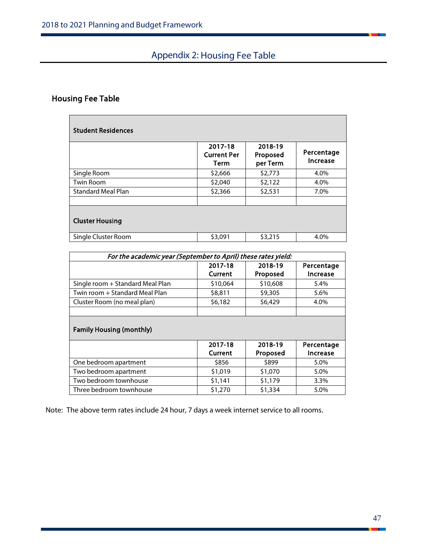# Appendix 2: Housing Fee Table

#### Housing Fee Table

| <b>Student Residences</b> |                                              |                                 |                        |
|---------------------------|----------------------------------------------|---------------------------------|------------------------|
|                           | 2017-18<br><b>Current Per</b><br><b>Term</b> | 2018-19<br>Proposed<br>per Term | Percentage<br>Increase |
| Single Room               | \$2,666                                      | \$2,773                         | 4.0%                   |
| <b>Twin Room</b>          | \$2,040                                      | \$2,122                         | 4.0%                   |
| <b>Standard Meal Plan</b> | \$2,366                                      | \$2,531                         | 7.0%                   |
| <b>Cluster Housing</b>    |                                              |                                 |                        |
| Single Cluster Room       | \$3,091                                      | \$3,215                         | 4.0%                   |

| For the academic year (September to April) these rates yield: |          |          |            |  |  |
|---------------------------------------------------------------|----------|----------|------------|--|--|
|                                                               | 2017-18  | 2018-19  | Percentage |  |  |
|                                                               | Current  | Proposed | Increase   |  |  |
| Single room + Standard Meal Plan                              | \$10,064 | \$10,608 | 5.4%       |  |  |
| Twin room + Standard Meal Plan                                | \$8,811  | \$9,305  | 5.6%       |  |  |
| Cluster Room (no meal plan)                                   | \$6,182  | \$6,429  | 4.0%       |  |  |
|                                                               |          |          |            |  |  |
| <b>Family Housing (monthly)</b>                               |          |          |            |  |  |
|                                                               | 2017-18  | 2018-19  | Percentage |  |  |
|                                                               | Current  | Proposed | Increase   |  |  |
| One bedroom apartment                                         | \$856    | \$899    | 5.0%       |  |  |
| Two bedroom apartment                                         | \$1,019  | \$1,070  | 5.0%       |  |  |
| Two bedroom townhouse                                         | \$1,141  | \$1,179  | $3.3\%$    |  |  |
| Three bedroom townhouse                                       | \$1,270  | \$1,334  | 5.0%       |  |  |

Note: The above term rates include 24 hour, 7 days a week internet service to all rooms.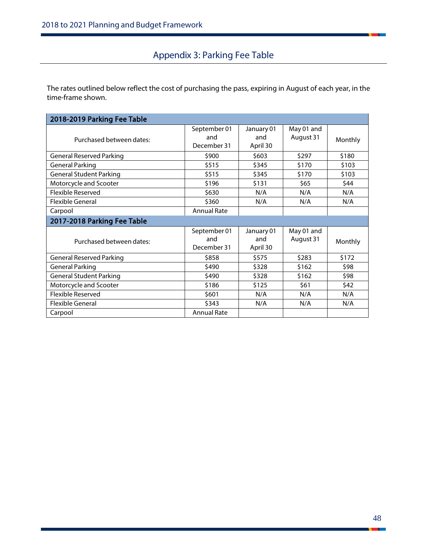# Appendix 3: Parking Fee Table

<span id="page-48-0"></span>The rates outlined below reflect the cost of purchasing the pass, expiring in August of each year, in the time-frame shown.

| 2018-2019 Parking Fee Table     |                    |            |            |         |
|---------------------------------|--------------------|------------|------------|---------|
|                                 | September 01       | January 01 | May 01 and |         |
| Purchased between dates:        | and                | and        | August 31  | Monthly |
|                                 | December 31        | April 30   |            |         |
| <b>General Reserved Parking</b> | \$900              | \$603      | \$297      | \$180   |
| <b>General Parking</b>          | \$515              | \$345      | \$170      | \$103   |
| <b>General Student Parking</b>  | \$515              | \$345      | \$170      | \$103   |
| Motorcycle and Scooter          | \$196              | \$131      | \$65       | \$44    |
| Flexible Reserved               | \$630              | N/A        | N/A        | N/A     |
| <b>Flexible General</b>         | \$360              | N/A        | N/A        | N/A     |
| Carpool                         | <b>Annual Rate</b> |            |            |         |
| 2017-2018 Parking Fee Table     |                    |            |            |         |
|                                 | September 01       | January 01 | May 01 and |         |
| Purchased between dates:        | and                | and        | August 31  | Monthly |
|                                 | December 31        | April 30   |            |         |
| <b>General Reserved Parking</b> | \$858              | \$575      | \$283      | \$172   |
| <b>General Parking</b>          | \$490              | \$328      | \$162      | \$98    |
| <b>General Student Parking</b>  | \$490              | \$328      | \$162      | \$98    |
| Motorcycle and Scooter          | \$186              | \$125      | \$61       | \$42    |
| <b>Flexible Reserved</b>        | \$601              | N/A        | N/A        | N/A     |
| <b>Flexible General</b>         | \$343              | N/A        | N/A        | N/A     |
| Carpool                         | <b>Annual Rate</b> |            |            |         |